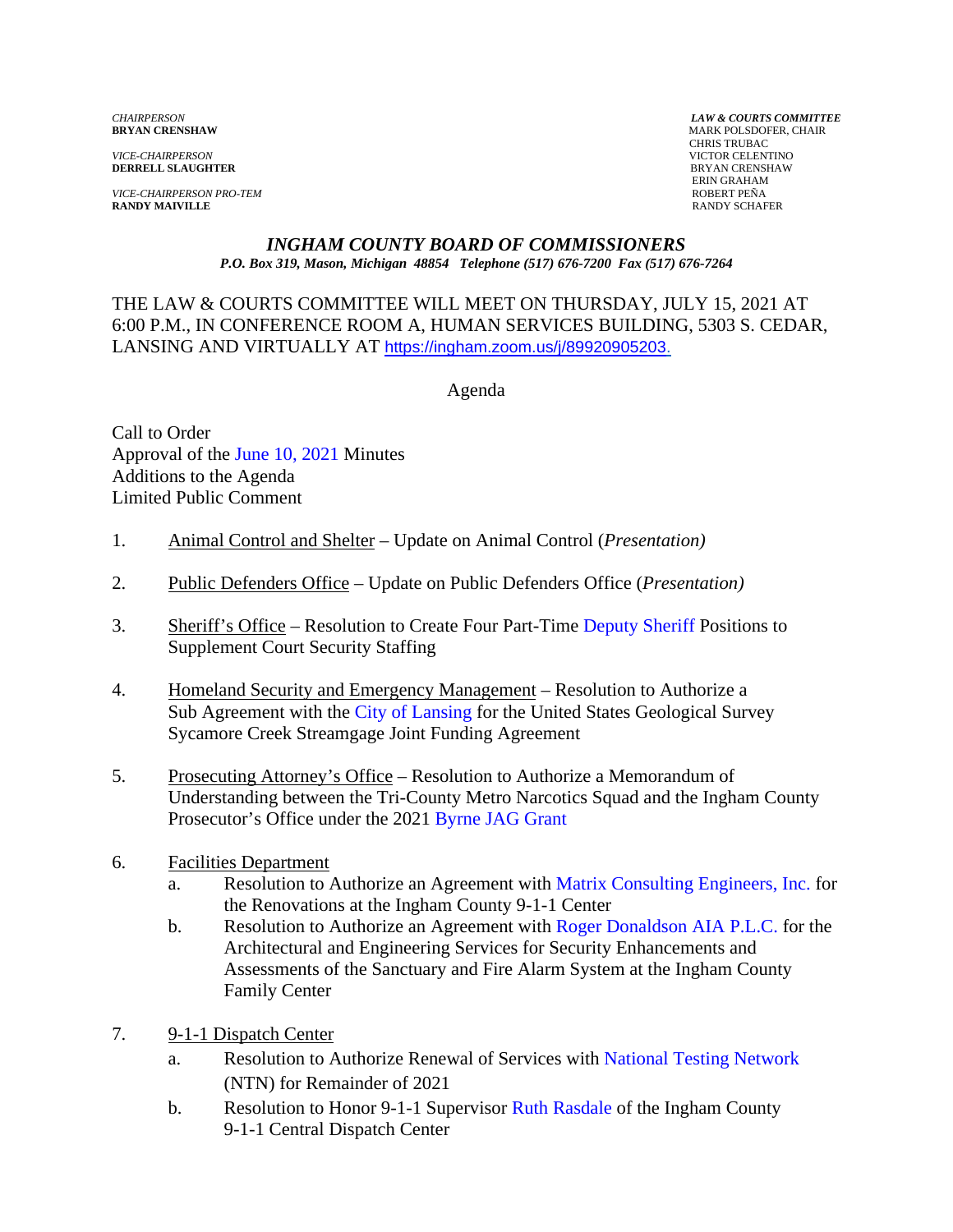*VICE-CHAIRPERSON* VICTOR CELENTINO **DERRELL SLAUGHTER** 

*VICE-CHAIRPERSON PRO-TEM* ROBERT PEÑA **RANDY MAIVILLE** 

*CHAIRPERSON LAW & COURTS COMMITTEE* **MARK POLSDOFER, CHAIR**  CHRIS TRUBAC ERIN GRAHAM<br>ROBERT PEÑA

#### *INGHAM COUNTY BOARD OF COMMISSIONERS P.O. Box 319, Mason, Michigan 48854 Telephone (517) 676-7200 Fax (517) 676-7264*

THE LAW & COURTS COMMITTEE WILL MEET ON THURSDAY, JULY 15, 2021 AT 6:00 P.M., IN CONFERENCE ROOM A, HUMAN SERVICES BUILDING, 5303 S. CEDAR, LANSING AND VIRTUALLY AT [https://ingham.zoom.us/j/89920905203.](https://ingham.zoom.us/j/89920905203)

Agenda

Call to Order Approval of t[he June 10, 2021 Minutes](#page-2-0)  Additions to the Agenda Limited Public Comment

- 1. Animal Control and Shelter Update on Animal Control (*Presentation)*
- 2. Public Defenders Office Update on Public Defenders Office (*Presentation)*
- 3. Sheriff's Office Resolution to Create Four Part[-Time Deputy Sheriff Positions to](#page-9-0) Supplement Court Security Staffing
- 4. Homeland Security and Emergency Management Resolution to Authorize a Sub Agreement with the City of Lansing for the United States Geological Survey Sycamore Creek Stre[amgage Joint Funding Ag](#page-11-0)reement
- 5. Prosecuting Attorney's Office Resolution to Authorize a Memorandum of Understanding between the Tri-County Metro Narcotics Squad and the Ingham County Prosecutor's Office under the [2021 Byrne JAG Grant](#page-14-0)
- 6. Facilities Department
	- a. Resolution to Authorize an Agreement with [Matrix Consulting Engineers, Inc. for](#page-16-0) the Renovations at the Ingham County 9-1-1 Center
	- b. Resolution to Authorize an Agreement [with Roger Donaldson AIA P.L.C. for the](#page-20-0) Architectural and Engineering Services for Security Enhancements and Assessments of the Sanctuary and Fire Alarm System at the Ingham County Family Center
- 7. 9-1-1 Dispatch Center
	- a. Resolution to Authorize Renewal of Services [with National Testing Network](#page-24-0) (NTN) for Remainder of 2021
	- b. Resolution to Honor 9-1-1 Supervisor [Ruth Rasdale of the I](#page-26-0)ngham County 9-1-1 Central Dispatch Center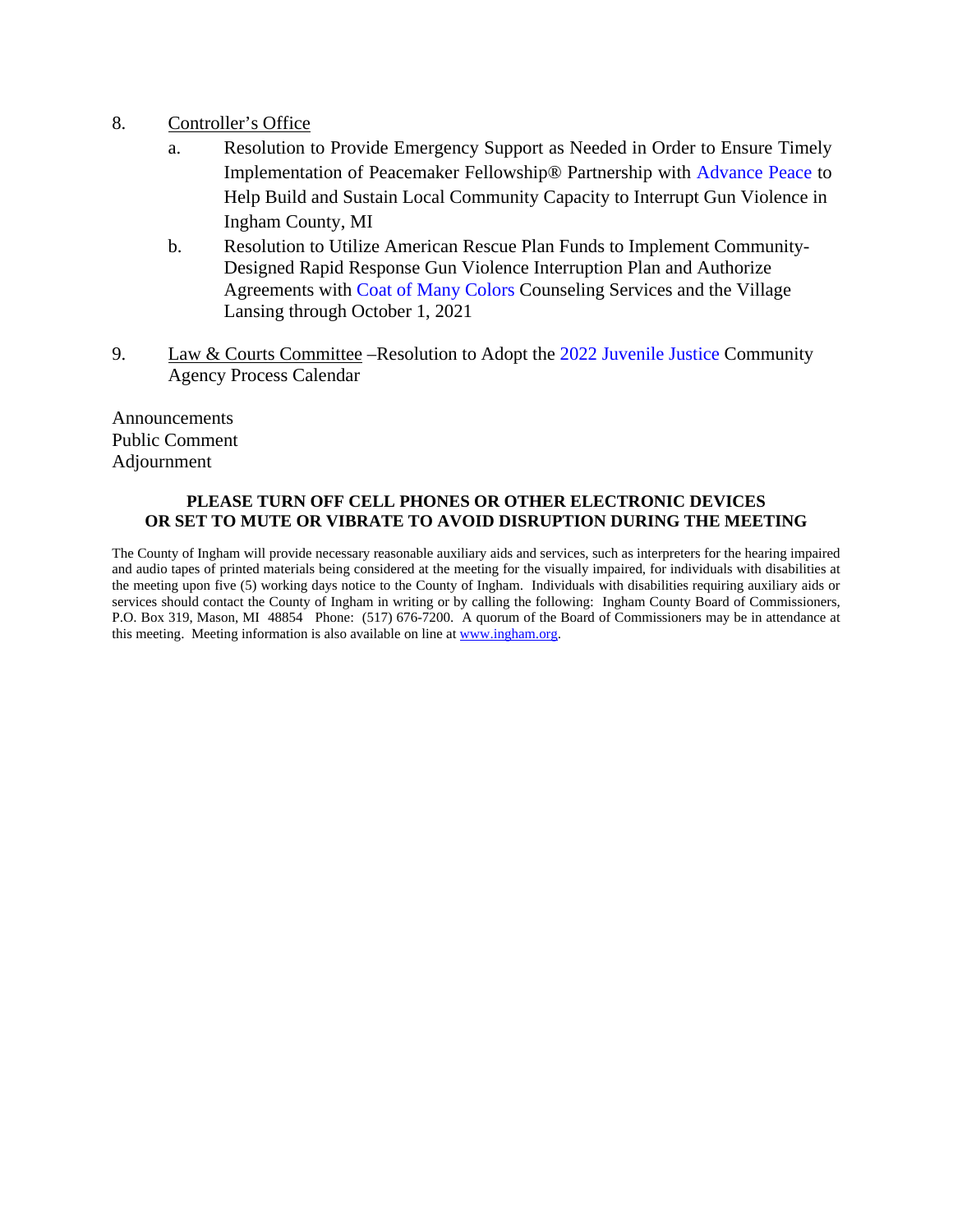- 8. Controller's Office
	- a. Resolution to Provide Emergency Support as Neede[d in Order to Ensure Timely](#page-28-0) Implementation of Peacemaker Fellowship® Partnership with Advance Peace to Help Build and Sustain Local Community Capacity to Interrupt Gun Violence in Ingham County, MI
	- b. Resolution to Utilize American Rescue Plan Funds to Implement Community-Designed Rapid Response Gun Violence Interruption Plan and Authorize Agreements [with Coat of Many Colors](#page-31-0) Counseling Services and the Village Lansing through October 1, 2021
- 9. Law & Courts Committee –Resolution to [Adopt the 2022 Juvenile Justice Commun](#page-37-0)ity Agency Process Calendar

Announcements Public Comment Adjournment

#### **PLEASE TURN OFF CELL PHONES OR OTHER ELECTRONIC DEVICES OR SET TO MUTE OR VIBRATE TO AVOID DISRUPTION DURING THE MEETING**

The County of Ingham will provide necessary reasonable auxiliary aids and services, such as interpreters for the hearing impaired and audio tapes of printed materials being considered at the meeting for the visually impaired, for individuals with disabilities at the meeting upon five (5) working days notice to the County of Ingham. Individuals with disabilities requiring auxiliary aids or services should contact the County of Ingham in writing or by calling the following: Ingham County Board of Commissioners, P.O. Box 319, Mason, MI 48854 Phone: (517) 676-7200. A quorum of the Board of Commissioners may be in attendance at this meeting. Meeting information is also available on line at www.ingham.org.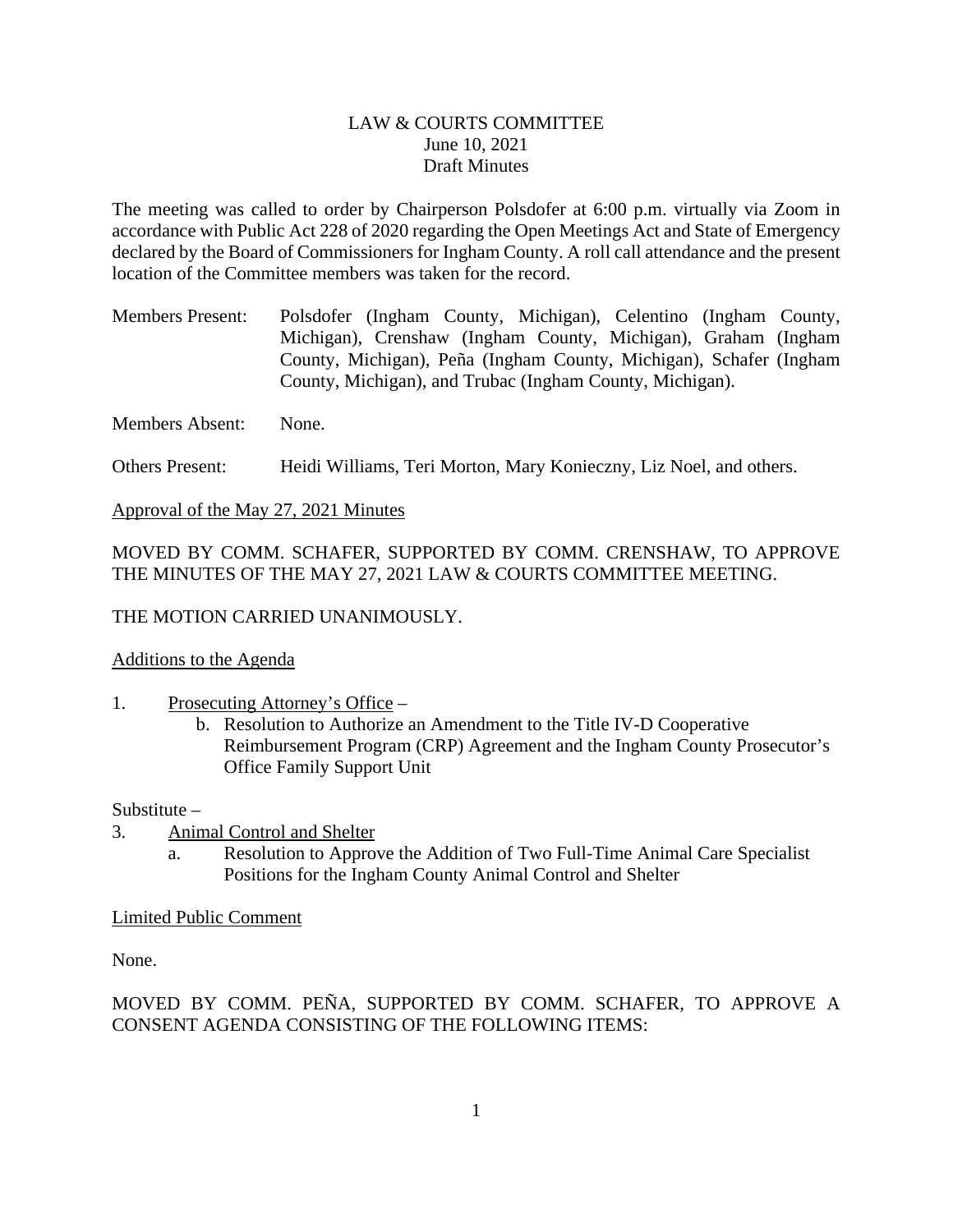#### LAW & COURTS COMMITTEE June 10, 2021 Draft Minutes

<span id="page-2-0"></span>The meeting was called to order by Chairperson Polsdofer at 6:00 p.m. virtually via Zoom in accordance with Public Act 228 of 2020 regarding the Open Meetings Act and State of Emergency declared by the Board of Commissioners for Ingham County. A roll call attendance and the present location of the Committee members was taken for the record.

Members Present: Polsdofer (Ingham County, Michigan), Celentino (Ingham County, Michigan), Crenshaw (Ingham County, Michigan), Graham (Ingham County, Michigan), Peña (Ingham County, Michigan), Schafer (Ingham County, Michigan), and Trubac (Ingham County, Michigan).

Members Absent: None.

Others Present: Heidi Williams, Teri Morton, Mary Konieczny, Liz Noel, and others.

Approval of the May 27, 2021 Minutes

MOVED BY COMM. SCHAFER, SUPPORTED BY COMM. CRENSHAW, TO APPROVE THE MINUTES OF THE MAY 27, 2021 LAW & COURTS COMMITTEE MEETING.

THE MOTION CARRIED UNANIMOUSLY.

#### Additions to the Agenda

- 1. Prosecuting Attorney's Office
	- b. Resolution to Authorize an Amendment to the Title IV-D Cooperative Reimbursement Program (CRP) Agreement and the Ingham County Prosecutor's Office Family Support Unit

#### Substitute –

- 3. Animal Control and Shelter
	- a. Resolution to Approve the Addition of Two Full-Time Animal Care Specialist Positions for the Ingham County Animal Control and Shelter

#### Limited Public Comment

None.

MOVED BY COMM. PEÑA, SUPPORTED BY COMM. SCHAFER, TO APPROVE A CONSENT AGENDA CONSISTING OF THE FOLLOWING ITEMS: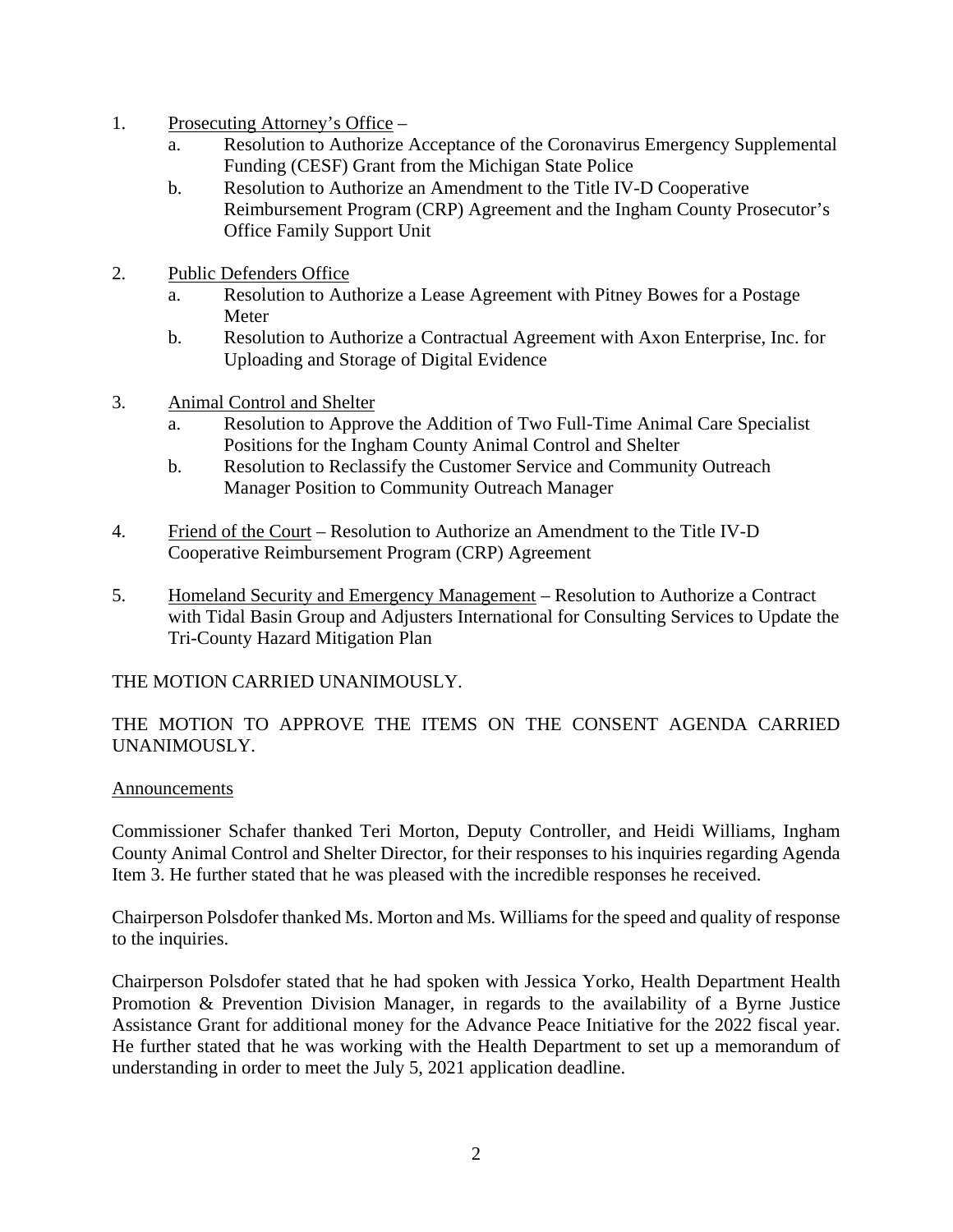- 1. Prosecuting Attorney's Office
	- a. Resolution to Authorize Acceptance of the Coronavirus Emergency Supplemental Funding (CESF) Grant from the Michigan State Police
	- b. Resolution to Authorize an Amendment to the Title IV-D Cooperative Reimbursement Program (CRP) Agreement and the Ingham County Prosecutor's Office Family Support Unit
- 2. Public Defenders Office
	- a. Resolution to Authorize a Lease Agreement with Pitney Bowes for a Postage Meter
	- b. Resolution to Authorize a Contractual Agreement with Axon Enterprise, Inc. for Uploading and Storage of Digital Evidence
- 3. Animal Control and Shelter
	- a. Resolution to Approve the Addition of Two Full-Time Animal Care Specialist Positions for the Ingham County Animal Control and Shelter
	- b. Resolution to Reclassify the Customer Service and Community Outreach Manager Position to Community Outreach Manager
- 4. Friend of the Court Resolution to Authorize an Amendment to the Title IV-D Cooperative Reimbursement Program (CRP) Agreement
- 5. Homeland Security and Emergency Management Resolution to Authorize a Contract with Tidal Basin Group and Adjusters International for Consulting Services to Update the Tri-County Hazard Mitigation Plan

THE MOTION CARRIED UNANIMOUSLY.

## THE MOTION TO APPROVE THE ITEMS ON THE CONSENT AGENDA CARRIED UNANIMOUSLY.

#### Announcements

Commissioner Schafer thanked Teri Morton, Deputy Controller, and Heidi Williams, Ingham County Animal Control and Shelter Director, for their responses to his inquiries regarding Agenda Item 3. He further stated that he was pleased with the incredible responses he received.

Chairperson Polsdofer thanked Ms. Morton and Ms. Williams for the speed and quality of response to the inquiries.

Chairperson Polsdofer stated that he had spoken with Jessica Yorko, Health Department Health Promotion & Prevention Division Manager, in regards to the availability of a Byrne Justice Assistance Grant for additional money for the Advance Peace Initiative for the 2022 fiscal year. He further stated that he was working with the Health Department to set up a memorandum of understanding in order to meet the July 5, 2021 application deadline.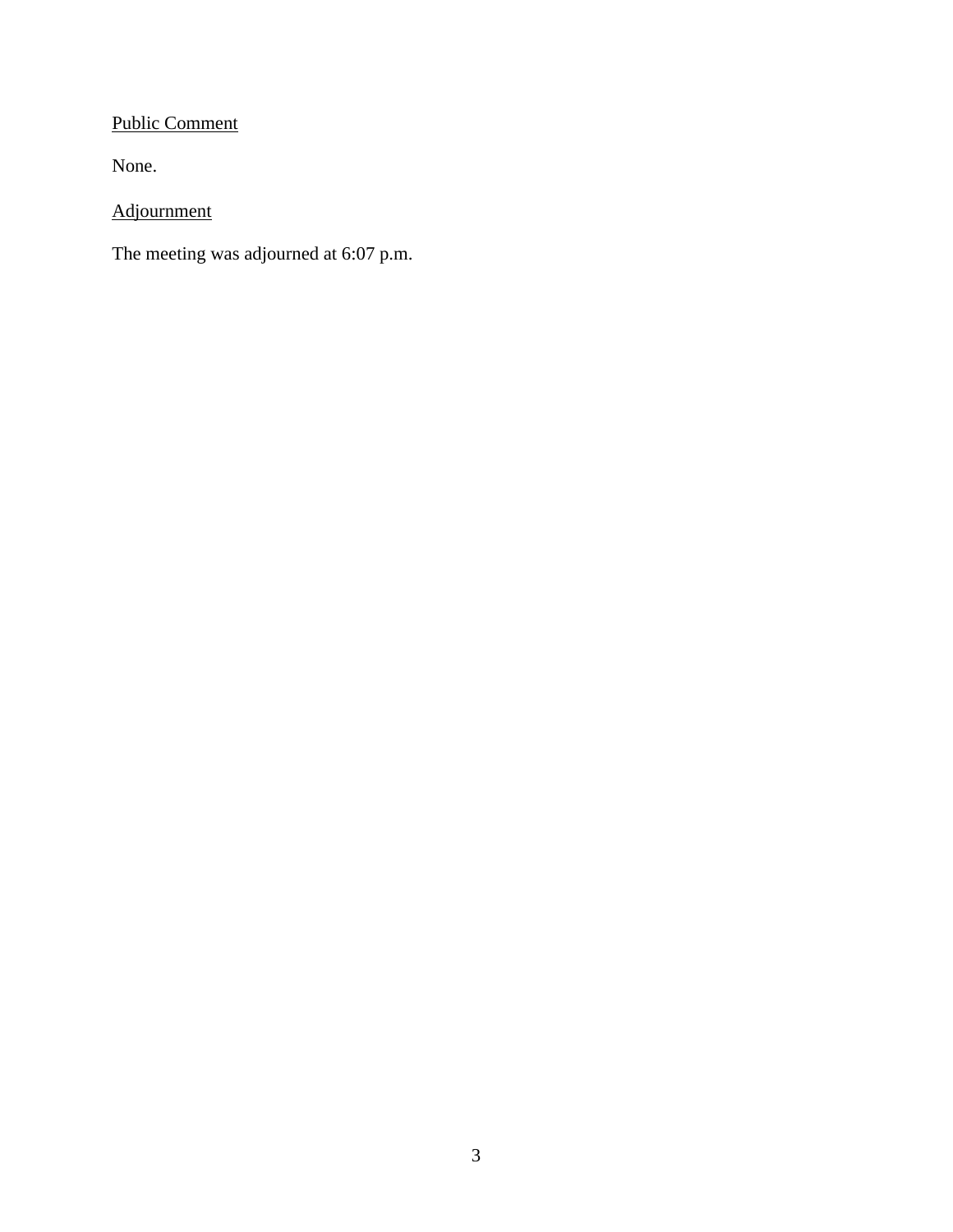# Public Comment

None.

Adjournment

The meeting was adjourned at 6:07 p.m.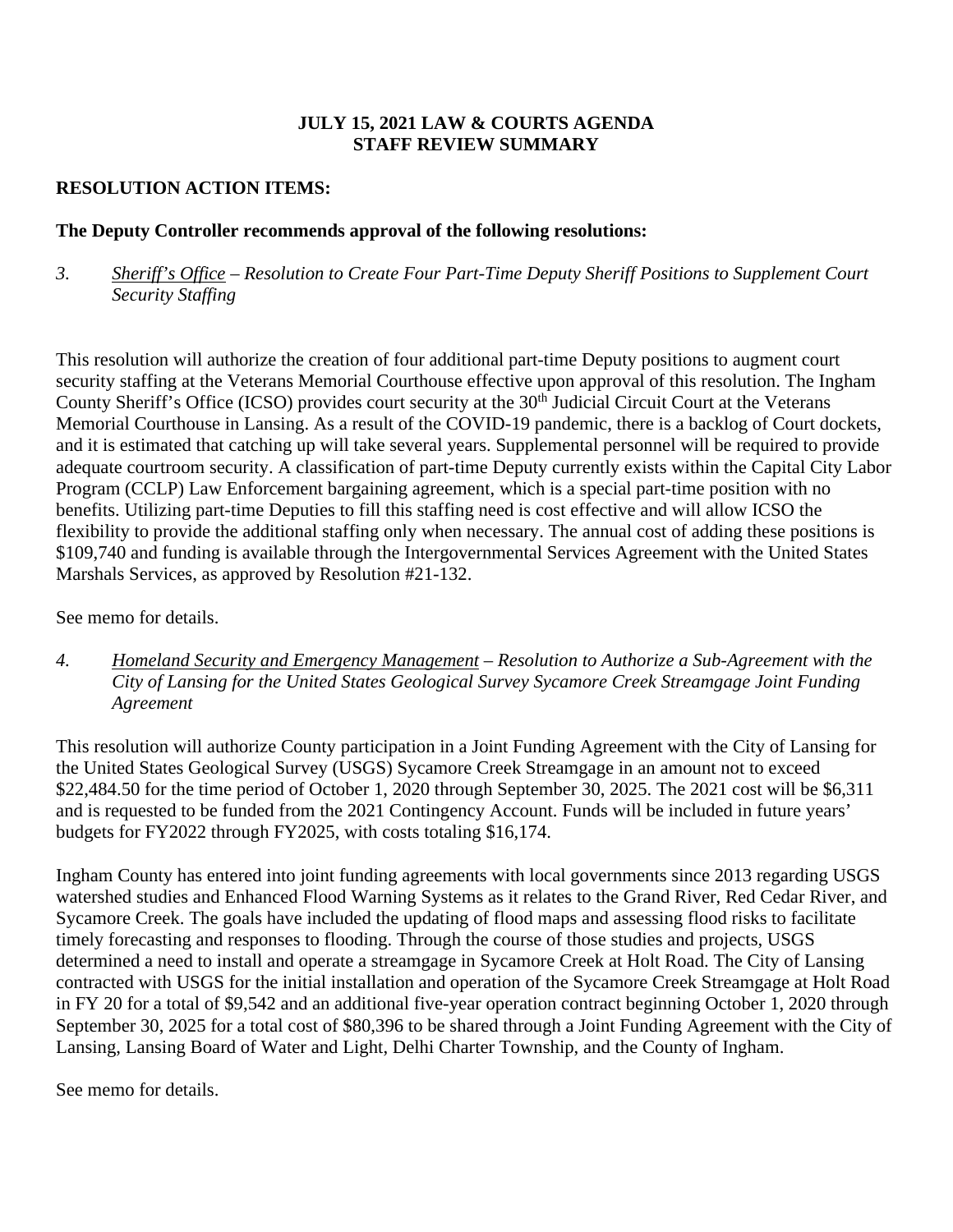## **JULY 15, 2021 LAW & COURTS AGENDA STAFF REVIEW SUMMARY**

## **RESOLUTION ACTION ITEMS:**

## **The Deputy Controller recommends approval of the following resolutions:**

*3. Sheriff's Office – Resolution to Create Four Part-Time Deputy Sheriff Positions to Supplement Court Security Staffing* 

This resolution will authorize the creation of four additional part-time Deputy positions to augment court security staffing at the Veterans Memorial Courthouse effective upon approval of this resolution. The Ingham County Sheriff's Office (ICSO) provides court security at the 30<sup>th</sup> Judicial Circuit Court at the Veterans Memorial Courthouse in Lansing. As a result of the COVID-19 pandemic, there is a backlog of Court dockets, and it is estimated that catching up will take several years. Supplemental personnel will be required to provide adequate courtroom security. A classification of part-time Deputy currently exists within the Capital City Labor Program (CCLP) Law Enforcement bargaining agreement, which is a special part-time position with no benefits. Utilizing part-time Deputies to fill this staffing need is cost effective and will allow ICSO the flexibility to provide the additional staffing only when necessary. The annual cost of adding these positions is \$109,740 and funding is available through the Intergovernmental Services Agreement with the United States Marshals Services, as approved by Resolution #21-132.

See memo for details.

*4. Homeland Security and Emergency Management – Resolution to Authorize a Sub-Agreement with the City of Lansing for the United States Geological Survey Sycamore Creek Streamgage Joint Funding Agreement* 

This resolution will authorize County participation in a Joint Funding Agreement with the City of Lansing for the United States Geological Survey (USGS) Sycamore Creek Streamgage in an amount not to exceed \$22,484.50 for the time period of October 1, 2020 through September 30, 2025. The 2021 cost will be \$6,311 and is requested to be funded from the 2021 Contingency Account. Funds will be included in future years' budgets for FY2022 through FY2025, with costs totaling \$16,174.

Ingham County has entered into joint funding agreements with local governments since 2013 regarding USGS watershed studies and Enhanced Flood Warning Systems as it relates to the Grand River, Red Cedar River, and Sycamore Creek. The goals have included the updating of flood maps and assessing flood risks to facilitate timely forecasting and responses to flooding. Through the course of those studies and projects, USGS determined a need to install and operate a streamgage in Sycamore Creek at Holt Road. The City of Lansing contracted with USGS for the initial installation and operation of the Sycamore Creek Streamgage at Holt Road in FY 20 for a total of \$9,542 and an additional five-year operation contract beginning October 1, 2020 through September 30, 2025 for a total cost of \$80,396 to be shared through a Joint Funding Agreement with the City of Lansing, Lansing Board of Water and Light, Delhi Charter Township, and the County of Ingham.

See memo for details.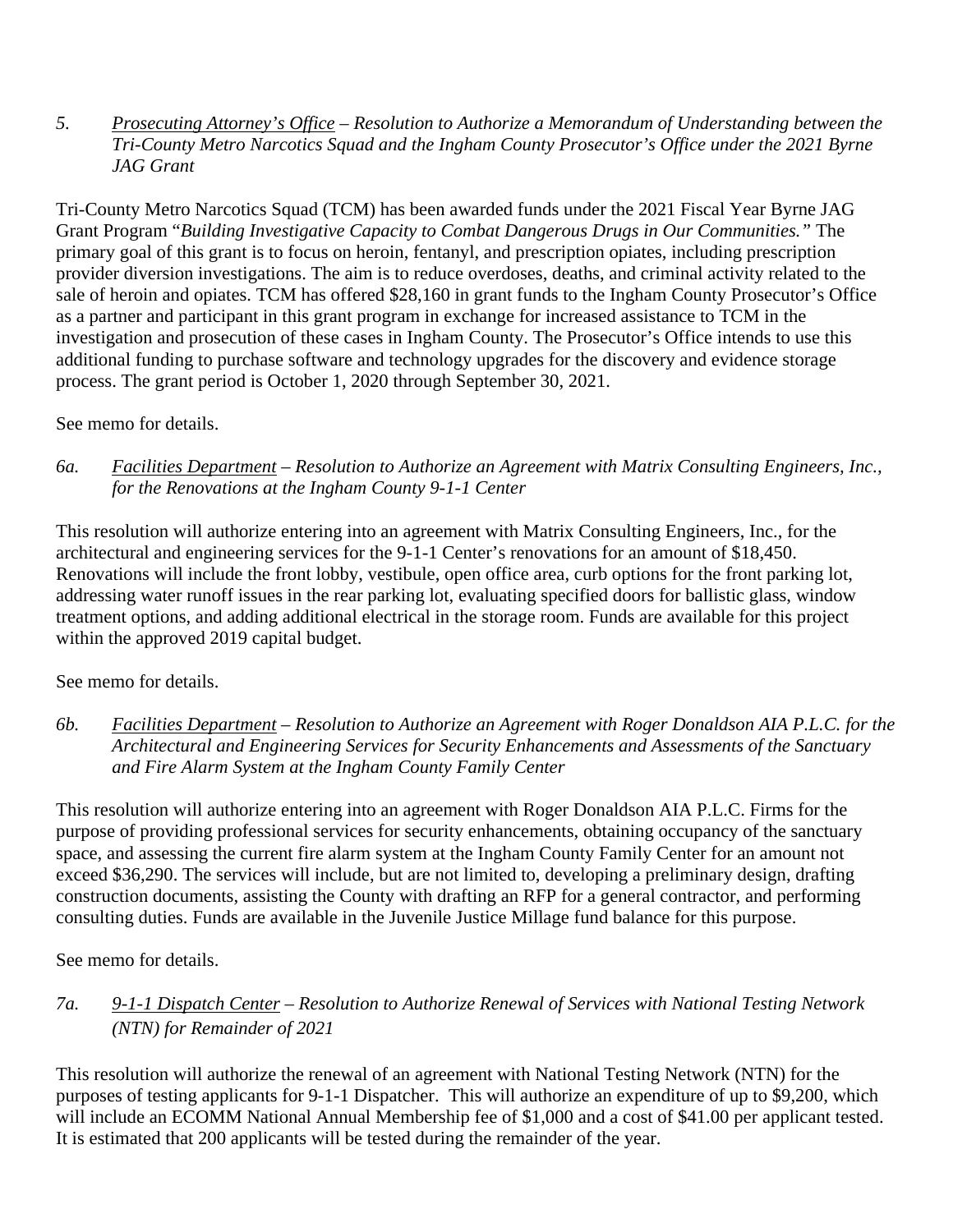#### *5. Prosecuting Attorney's Office – Resolution to Authorize a Memorandum of Understanding between the Tri-County Metro Narcotics Squad and the Ingham County Prosecutor's Office under the 2021 Byrne JAG Grant*

Tri-County Metro Narcotics Squad (TCM) has been awarded funds under the 2021 Fiscal Year Byrne JAG Grant Program "*Building Investigative Capacity to Combat Dangerous Drugs in Our Communities."* The primary goal of this grant is to focus on heroin, fentanyl, and prescription opiates, including prescription provider diversion investigations. The aim is to reduce overdoses, deaths, and criminal activity related to the sale of heroin and opiates. TCM has offered \$28,160 in grant funds to the Ingham County Prosecutor's Office as a partner and participant in this grant program in exchange for increased assistance to TCM in the investigation and prosecution of these cases in Ingham County. The Prosecutor's Office intends to use this additional funding to purchase software and technology upgrades for the discovery and evidence storage process. The grant period is October 1, 2020 through September 30, 2021.

## See memo for details.

*6a. Facilities Department – Resolution to Authorize an Agreement with Matrix Consulting Engineers, Inc., for the Renovations at the Ingham County 9-1-1 Center* 

This resolution will authorize entering into an agreement with Matrix Consulting Engineers, Inc., for the architectural and engineering services for the 9-1-1 Center's renovations for an amount of \$18,450. Renovations will include the front lobby, vestibule, open office area, curb options for the front parking lot, addressing water runoff issues in the rear parking lot, evaluating specified doors for ballistic glass, window treatment options, and adding additional electrical in the storage room. Funds are available for this project within the approved 2019 capital budget.

See memo for details.

*6b. Facilities Department – Resolution to Authorize an Agreement with Roger Donaldson AIA P.L.C. for the Architectural and Engineering Services for Security Enhancements and Assessments of the Sanctuary and Fire Alarm System at the Ingham County Family Center*

This resolution will authorize entering into an agreement with Roger Donaldson AIA P.L.C. Firms for the purpose of providing professional services for security enhancements, obtaining occupancy of the sanctuary space, and assessing the current fire alarm system at the Ingham County Family Center for an amount not exceed \$36,290. The services will include, but are not limited to, developing a preliminary design, drafting construction documents, assisting the County with drafting an RFP for a general contractor, and performing consulting duties. Funds are available in the Juvenile Justice Millage fund balance for this purpose.

See memo for details.

*7a. 9-1-1 Dispatch Center – Resolution to Authorize Renewal of Services with National Testing Network (NTN) for Remainder of 2021* 

This resolution will authorize the renewal of an agreement with National Testing Network (NTN) for the purposes of testing applicants for 9-1-1 Dispatcher. This will authorize an expenditure of up to \$9,200, which will include an ECOMM National Annual Membership fee of \$1,000 and a cost of \$41.00 per applicant tested. It is estimated that 200 applicants will be tested during the remainder of the year.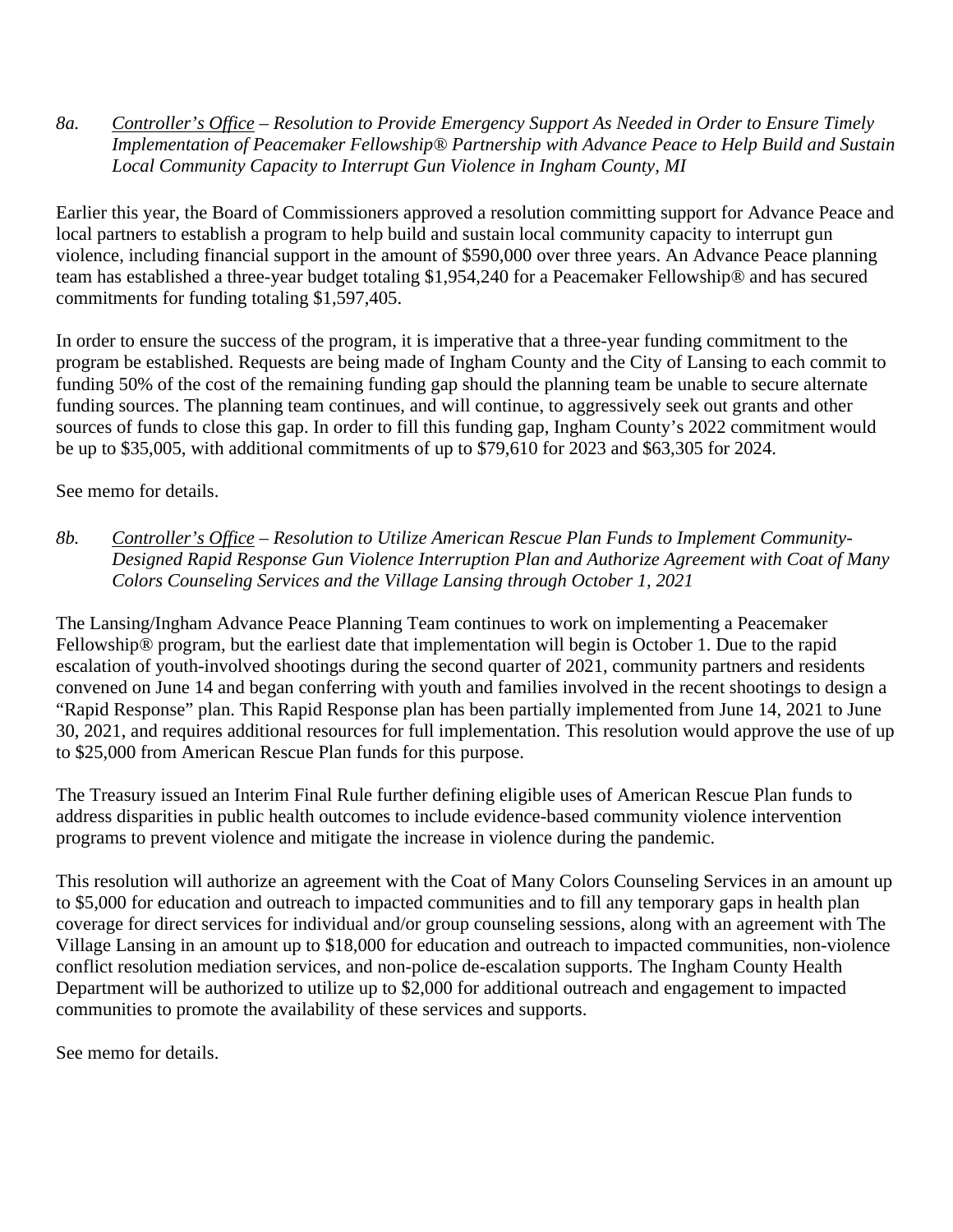*8a. Controller's Office – Resolution to Provide Emergency Support As Needed in Order to Ensure Timely Implementation of Peacemaker Fellowship® Partnership with Advance Peace to Help Build and Sustain Local Community Capacity to Interrupt Gun Violence in Ingham County, MI* 

Earlier this year, the Board of Commissioners approved a resolution committing support for Advance Peace and local partners to establish a program to help build and sustain local community capacity to interrupt gun violence, including financial support in the amount of \$590,000 over three years. An Advance Peace planning team has established a three-year budget totaling \$1,954,240 for a Peacemaker Fellowship® and has secured commitments for funding totaling \$1,597,405.

In order to ensure the success of the program, it is imperative that a three-year funding commitment to the program be established. Requests are being made of Ingham County and the City of Lansing to each commit to funding 50% of the cost of the remaining funding gap should the planning team be unable to secure alternate funding sources. The planning team continues, and will continue, to aggressively seek out grants and other sources of funds to close this gap. In order to fill this funding gap, Ingham County's 2022 commitment would be up to \$35,005, with additional commitments of up to \$79,610 for 2023 and \$63,305 for 2024.

See memo for details.

*8b. Controller's Office – Resolution to Utilize American Rescue Plan Funds to Implement Community-Designed Rapid Response Gun Violence Interruption Plan and Authorize Agreement with Coat of Many Colors Counseling Services and the Village Lansing through October 1, 2021*

The Lansing/Ingham Advance Peace Planning Team continues to work on implementing a Peacemaker Fellowship*®* program, but the earliest date that implementation will begin is October 1. Due to the rapid escalation of youth-involved shootings during the second quarter of 2021, community partners and residents convened on June 14 and began conferring with youth and families involved in the recent shootings to design a "Rapid Response" plan. This Rapid Response plan has been partially implemented from June 14, 2021 to June 30, 2021, and requires additional resources for full implementation. This resolution would approve the use of up to \$25,000 from American Rescue Plan funds for this purpose.

The Treasury issued an Interim Final Rule further defining eligible uses of American Rescue Plan funds to address disparities in public health outcomes to include evidence-based community violence intervention programs to prevent violence and mitigate the increase in violence during the pandemic.

This resolution will authorize an agreement with the Coat of Many Colors Counseling Services in an amount up to \$5,000 for education and outreach to impacted communities and to fill any temporary gaps in health plan coverage for direct services for individual and/or group counseling sessions, along with an agreement with The Village Lansing in an amount up to \$18,000 for education and outreach to impacted communities, non-violence conflict resolution mediation services, and non-police de-escalation supports. The Ingham County Health Department will be authorized to utilize up to \$2,000 for additional outreach and engagement to impacted communities to promote the availability of these services and supports.

See memo for details.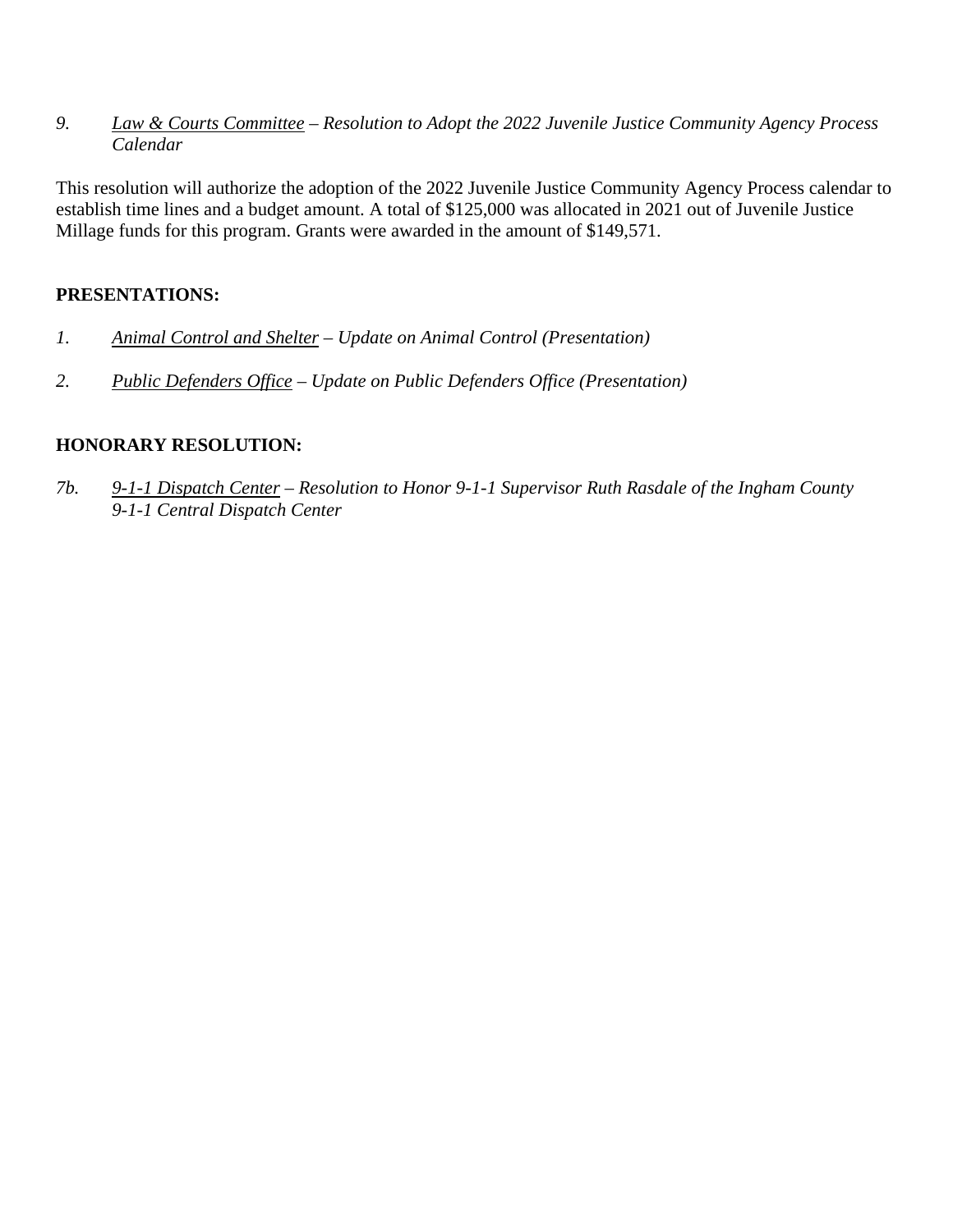*9. Law & Courts Committee – Resolution to Adopt the 2022 Juvenile Justice Community Agency Process Calendar*

This resolution will authorize the adoption of the 2022 Juvenile Justice Community Agency Process calendar to establish time lines and a budget amount. A total of \$125,000 was allocated in 2021 out of Juvenile Justice Millage funds for this program. Grants were awarded in the amount of \$149,571.

## **PRESENTATIONS:**

- *1. Animal Control and Shelter Update on Animal Control (Presentation)*
- *2. Public Defenders Office Update on Public Defenders Office (Presentation)*

## **HONORARY RESOLUTION:**

*7b. 9-1-1 Dispatch Center – Resolution to Honor 9-1-1 Supervisor Ruth Rasdale of the Ingham County 9-1-1 Central Dispatch Center*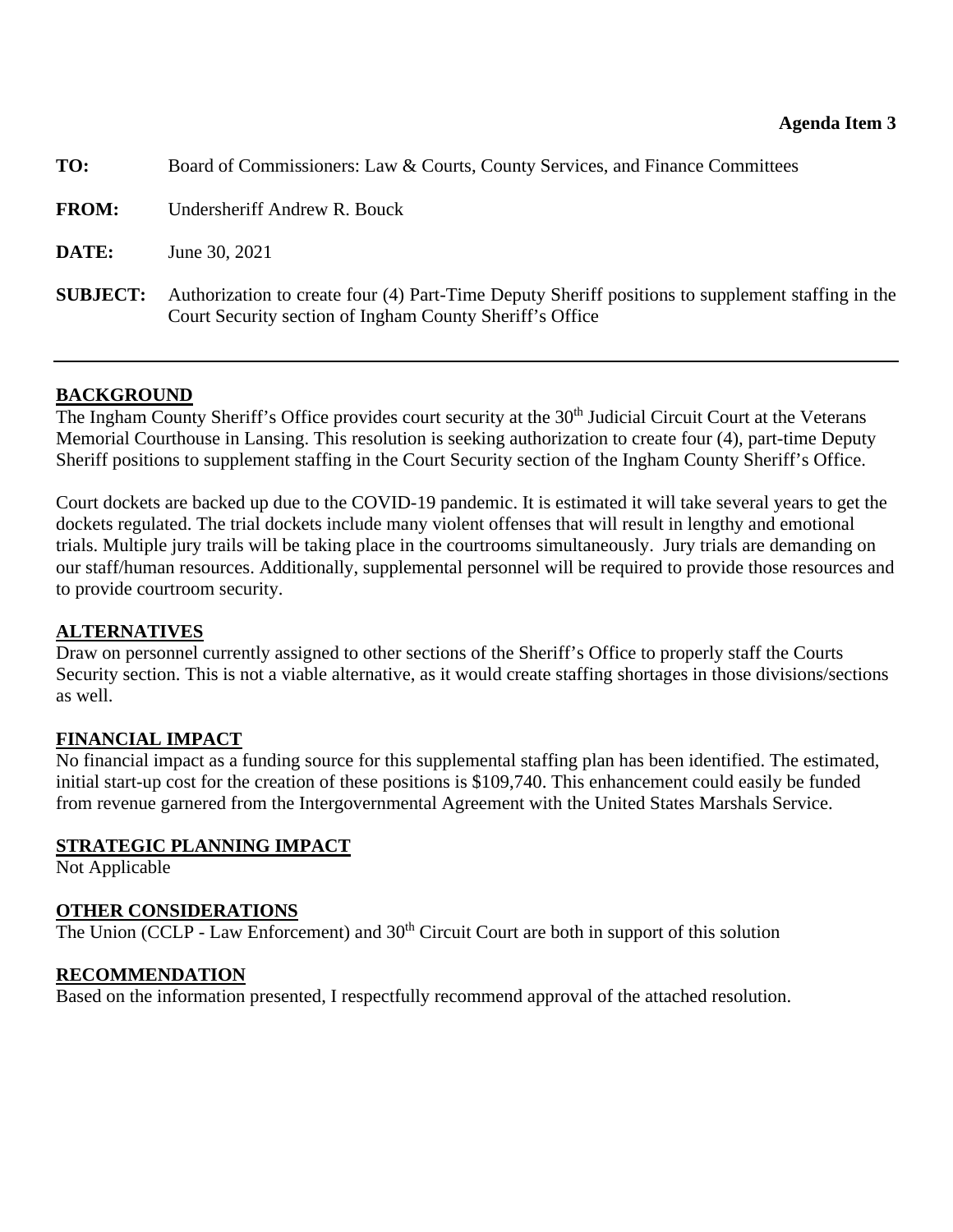<span id="page-9-0"></span>

| TO:             | Board of Commissioners: Law & Courts, County Services, and Finance Committees                                                                                 |
|-----------------|---------------------------------------------------------------------------------------------------------------------------------------------------------------|
| <b>FROM:</b>    | Undersheriff Andrew R. Bouck                                                                                                                                  |
| DATE:           | June 30, 2021                                                                                                                                                 |
| <b>SUBJECT:</b> | Authorization to create four (4) Part-Time Deputy Sheriff positions to supplement staffing in the<br>Court Security section of Ingham County Sheriff's Office |

## **BACKGROUND**

The Ingham County Sheriff's Office provides court security at the 30<sup>th</sup> Judicial Circuit Court at the Veterans Memorial Courthouse in Lansing. This resolution is seeking authorization to create four (4), part-time Deputy Sheriff positions to supplement staffing in the Court Security section of the Ingham County Sheriff's Office.

Court dockets are backed up due to the COVID-19 pandemic. It is estimated it will take several years to get the dockets regulated. The trial dockets include many violent offenses that will result in lengthy and emotional trials. Multiple jury trails will be taking place in the courtrooms simultaneously. Jury trials are demanding on our staff/human resources. Additionally, supplemental personnel will be required to provide those resources and to provide courtroom security.

# **ALTERNATIVES**

Draw on personnel currently assigned to other sections of the Sheriff's Office to properly staff the Courts Security section. This is not a viable alternative, as it would create staffing shortages in those divisions/sections as well.

# **FINANCIAL IMPACT**

No financial impact as a funding source for this supplemental staffing plan has been identified. The estimated, initial start-up cost for the creation of these positions is \$109,740. This enhancement could easily be funded from revenue garnered from the Intergovernmental Agreement with the United States Marshals Service.

## **STRATEGIC PLANNING IMPACT**

Not Applicable

## **OTHER CONSIDERATIONS**

The Union (CCLP - Law Enforcement) and 30<sup>th</sup> Circuit Court are both in support of this solution

# **RECOMMENDATION**

Based on the information presented, I respectfully recommend approval of the attached resolution.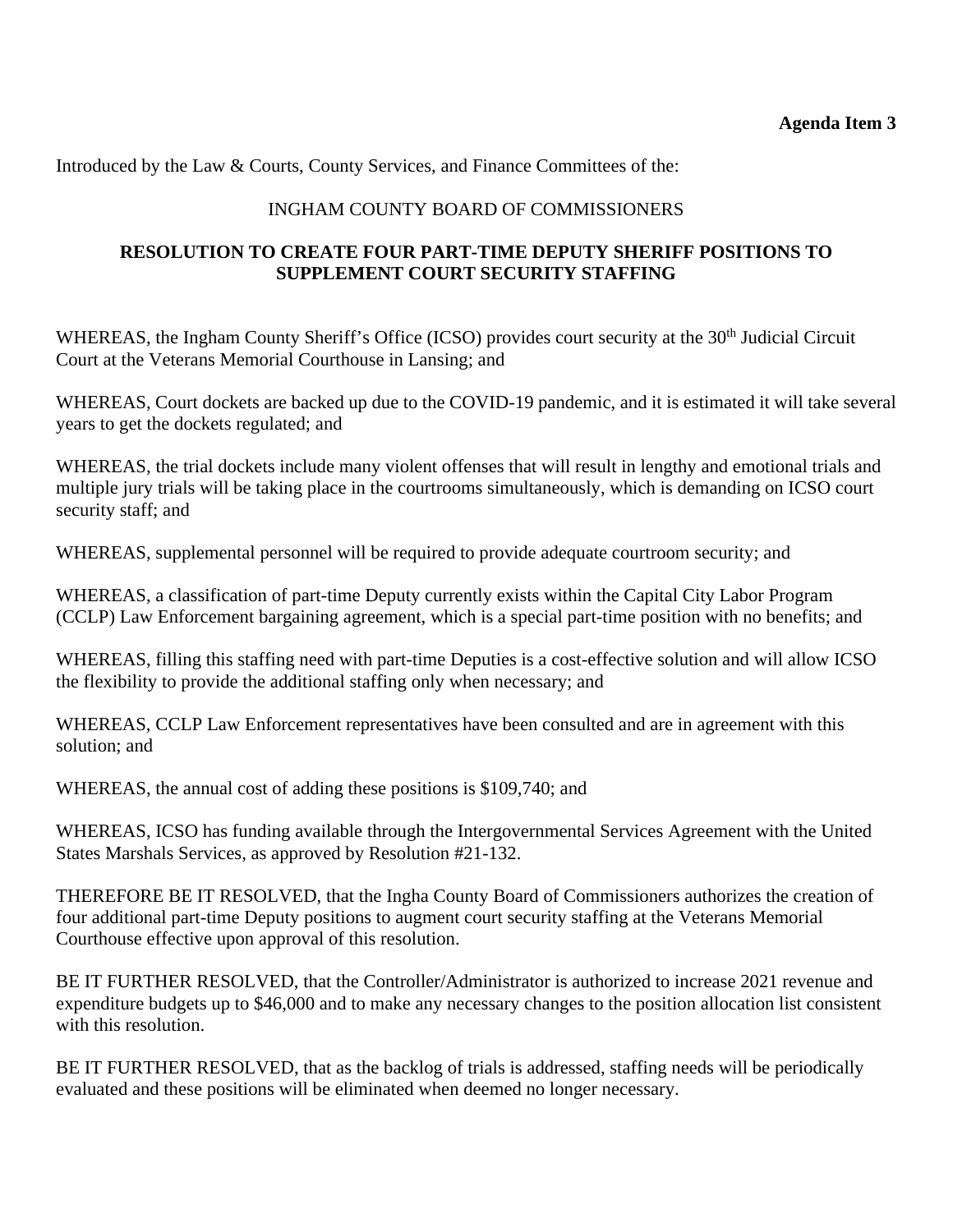Introduced by the Law & Courts, County Services, and Finance Committees of the:

# INGHAM COUNTY BOARD OF COMMISSIONERS

## **RESOLUTION TO CREATE FOUR PART-TIME DEPUTY SHERIFF POSITIONS TO SUPPLEMENT COURT SECURITY STAFFING**

WHEREAS, the Ingham County Sheriff's Office (ICSO) provides court security at the 30<sup>th</sup> Judicial Circuit Court at the Veterans Memorial Courthouse in Lansing; and

WHEREAS, Court dockets are backed up due to the COVID-19 pandemic, and it is estimated it will take several years to get the dockets regulated; and

WHEREAS, the trial dockets include many violent offenses that will result in lengthy and emotional trials and multiple jury trials will be taking place in the courtrooms simultaneously, which is demanding on ICSO court security staff; and

WHEREAS, supplemental personnel will be required to provide adequate courtroom security; and

WHEREAS, a classification of part-time Deputy currently exists within the Capital City Labor Program (CCLP) Law Enforcement bargaining agreement, which is a special part-time position with no benefits; and

WHEREAS, filling this staffing need with part-time Deputies is a cost-effective solution and will allow ICSO the flexibility to provide the additional staffing only when necessary; and

WHEREAS, CCLP Law Enforcement representatives have been consulted and are in agreement with this solution; and

WHEREAS, the annual cost of adding these positions is \$109,740; and

WHEREAS, ICSO has funding available through the Intergovernmental Services Agreement with the United States Marshals Services, as approved by Resolution #21-132.

THEREFORE BE IT RESOLVED, that the Ingha County Board of Commissioners authorizes the creation of four additional part-time Deputy positions to augment court security staffing at the Veterans Memorial Courthouse effective upon approval of this resolution.

BE IT FURTHER RESOLVED, that the Controller/Administrator is authorized to increase 2021 revenue and expenditure budgets up to \$46,000 and to make any necessary changes to the position allocation list consistent with this resolution.

BE IT FURTHER RESOLVED, that as the backlog of trials is addressed, staffing needs will be periodically evaluated and these positions will be eliminated when deemed no longer necessary.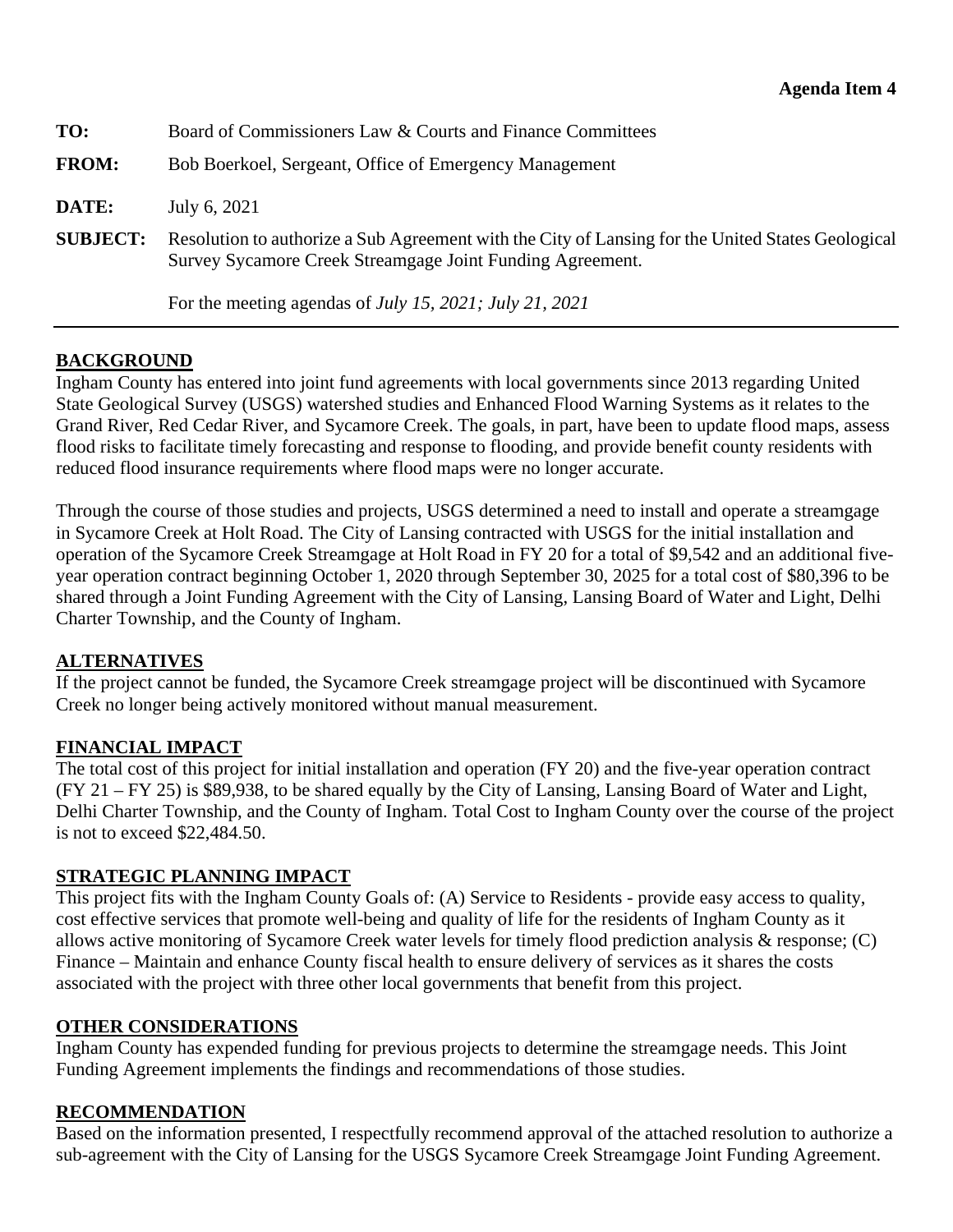<span id="page-11-0"></span>

| TO:             | Board of Commissioners Law & Courts and Finance Committees                                                                                                     |
|-----------------|----------------------------------------------------------------------------------------------------------------------------------------------------------------|
| <b>FROM:</b>    | Bob Boerkoel, Sergeant, Office of Emergency Management                                                                                                         |
| DATE:           | July 6, 2021                                                                                                                                                   |
| <b>SUBJECT:</b> | Resolution to authorize a Sub Agreement with the City of Lansing for the United States Geological<br>Survey Sycamore Creek Streamgage Joint Funding Agreement. |
|                 | For the meeting agendas of <i>July 15</i> , 2021; <i>July 21</i> , 2021                                                                                        |

## **BACKGROUND**

Ingham County has entered into joint fund agreements with local governments since 2013 regarding United State Geological Survey (USGS) watershed studies and Enhanced Flood Warning Systems as it relates to the Grand River, Red Cedar River, and Sycamore Creek. The goals, in part, have been to update flood maps, assess flood risks to facilitate timely forecasting and response to flooding, and provide benefit county residents with reduced flood insurance requirements where flood maps were no longer accurate.

Through the course of those studies and projects, USGS determined a need to install and operate a streamgage in Sycamore Creek at Holt Road. The City of Lansing contracted with USGS for the initial installation and operation of the Sycamore Creek Streamgage at Holt Road in FY 20 for a total of \$9,542 and an additional fiveyear operation contract beginning October 1, 2020 through September 30, 2025 for a total cost of \$80,396 to be shared through a Joint Funding Agreement with the City of Lansing, Lansing Board of Water and Light, Delhi Charter Township, and the County of Ingham.

## **ALTERNATIVES**

If the project cannot be funded, the Sycamore Creek streamgage project will be discontinued with Sycamore Creek no longer being actively monitored without manual measurement.

## **FINANCIAL IMPACT**

The total cost of this project for initial installation and operation (FY 20) and the five-year operation contract (FY 21 – FY 25) is \$89,938, to be shared equally by the City of Lansing, Lansing Board of Water and Light, Delhi Charter Township, and the County of Ingham. Total Cost to Ingham County over the course of the project is not to exceed \$22,484.50.

## **STRATEGIC PLANNING IMPACT**

This project fits with the Ingham County Goals of: (A) Service to Residents - provide easy access to quality, cost effective services that promote well-being and quality of life for the residents of Ingham County as it allows active monitoring of Sycamore Creek water levels for timely flood prediction analysis & response; (C) Finance – Maintain and enhance County fiscal health to ensure delivery of services as it shares the costs associated with the project with three other local governments that benefit from this project.

## **OTHER CONSIDERATIONS**

Ingham County has expended funding for previous projects to determine the streamgage needs. This Joint Funding Agreement implements the findings and recommendations of those studies.

# **RECOMMENDATION**

Based on the information presented, I respectfully recommend approval of the attached resolution to authorize a sub-agreement with the City of Lansing for the USGS Sycamore Creek Streamgage Joint Funding Agreement.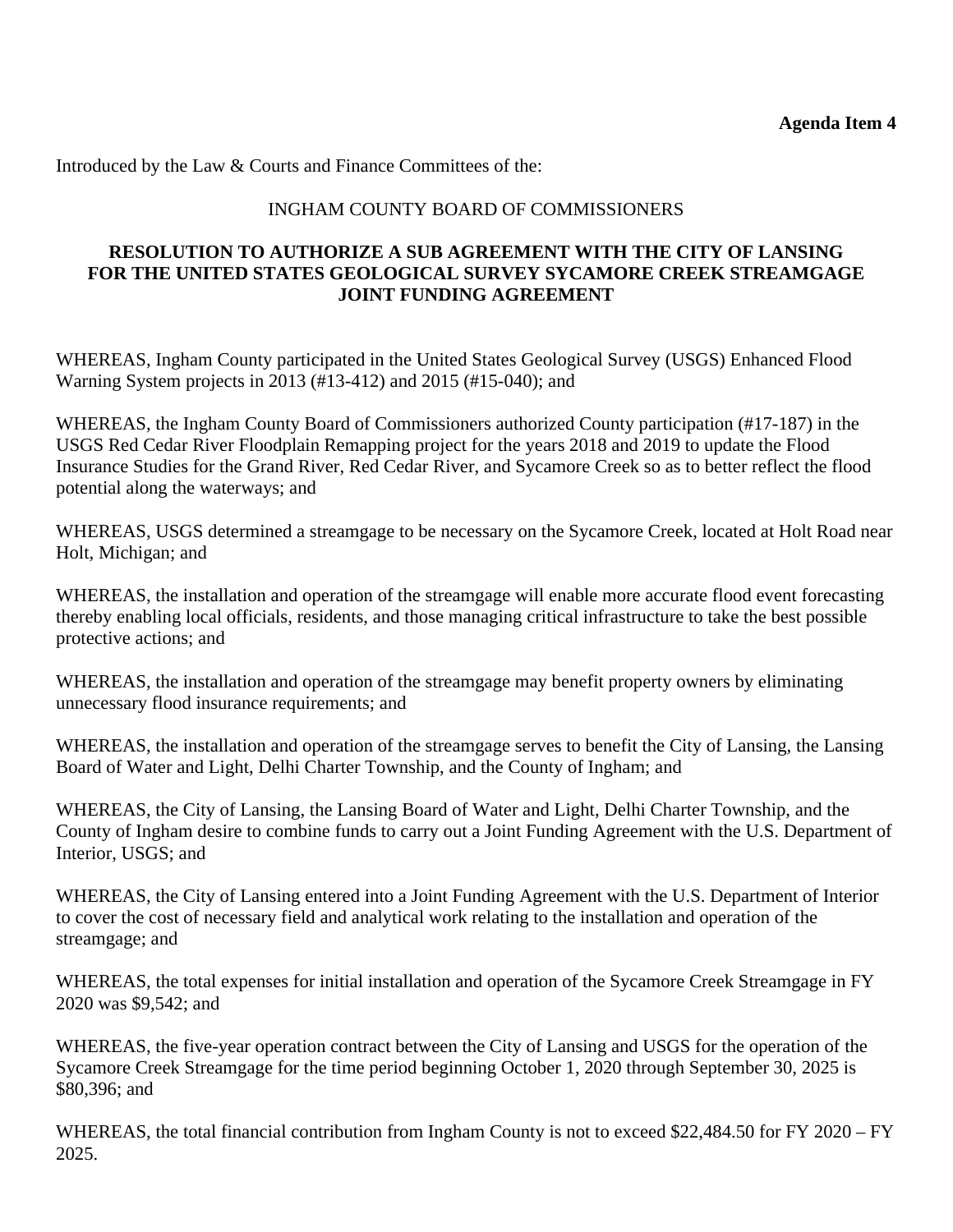Introduced by the Law & Courts and Finance Committees of the:

## INGHAM COUNTY BOARD OF COMMISSIONERS

## **RESOLUTION TO AUTHORIZE A SUB AGREEMENT WITH THE CITY OF LANSING FOR THE UNITED STATES GEOLOGICAL SURVEY SYCAMORE CREEK STREAMGAGE JOINT FUNDING AGREEMENT**

WHEREAS, Ingham County participated in the United States Geological Survey (USGS) Enhanced Flood Warning System projects in 2013 (#13-412) and 2015 (#15-040); and

WHEREAS, the Ingham County Board of Commissioners authorized County participation (#17-187) in the USGS Red Cedar River Floodplain Remapping project for the years 2018 and 2019 to update the Flood Insurance Studies for the Grand River, Red Cedar River, and Sycamore Creek so as to better reflect the flood potential along the waterways; and

WHEREAS, USGS determined a streamgage to be necessary on the Sycamore Creek, located at Holt Road near Holt, Michigan; and

WHEREAS, the installation and operation of the streamgage will enable more accurate flood event forecasting thereby enabling local officials, residents, and those managing critical infrastructure to take the best possible protective actions; and

WHEREAS, the installation and operation of the streamgage may benefit property owners by eliminating unnecessary flood insurance requirements; and

WHEREAS, the installation and operation of the streamgage serves to benefit the City of Lansing, the Lansing Board of Water and Light, Delhi Charter Township, and the County of Ingham; and

WHEREAS, the City of Lansing, the Lansing Board of Water and Light, Delhi Charter Township, and the County of Ingham desire to combine funds to carry out a Joint Funding Agreement with the U.S. Department of Interior, USGS; and

WHEREAS, the City of Lansing entered into a Joint Funding Agreement with the U.S. Department of Interior to cover the cost of necessary field and analytical work relating to the installation and operation of the streamgage; and

WHEREAS, the total expenses for initial installation and operation of the Sycamore Creek Streamgage in FY 2020 was \$9,542; and

WHEREAS, the five-year operation contract between the City of Lansing and USGS for the operation of the Sycamore Creek Streamgage for the time period beginning October 1, 2020 through September 30, 2025 is \$80,396; and

WHEREAS, the total financial contribution from Ingham County is not to exceed \$22,484.50 for FY 2020 – FY 2025.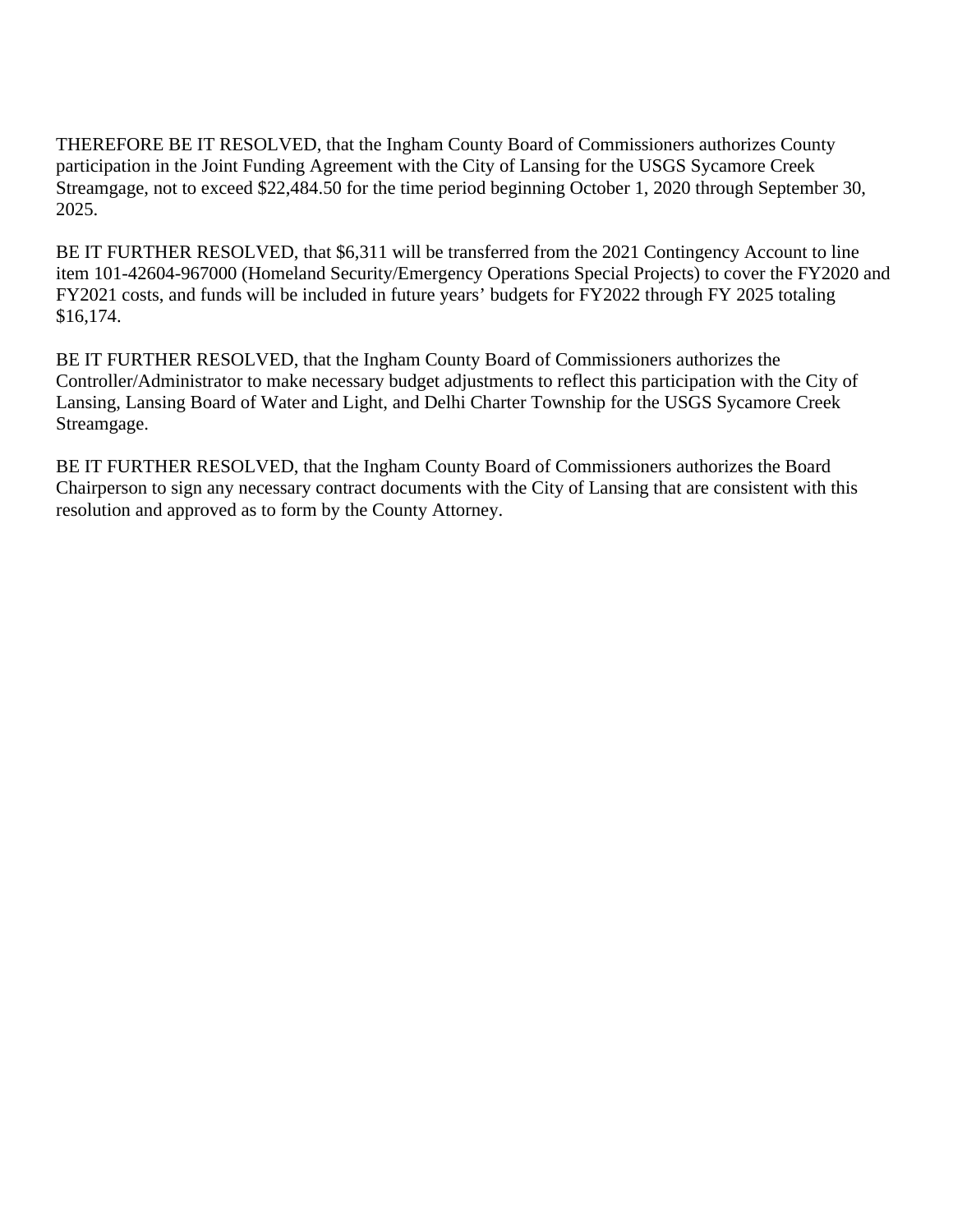THEREFORE BE IT RESOLVED, that the Ingham County Board of Commissioners authorizes County participation in the Joint Funding Agreement with the City of Lansing for the USGS Sycamore Creek Streamgage, not to exceed \$22,484.50 for the time period beginning October 1, 2020 through September 30, 2025.

BE IT FURTHER RESOLVED, that \$6,311 will be transferred from the 2021 Contingency Account to line item 101-42604-967000 (Homeland Security/Emergency Operations Special Projects) to cover the FY2020 and FY2021 costs, and funds will be included in future years' budgets for FY2022 through FY 2025 totaling \$16,174.

BE IT FURTHER RESOLVED, that the Ingham County Board of Commissioners authorizes the Controller/Administrator to make necessary budget adjustments to reflect this participation with the City of Lansing, Lansing Board of Water and Light, and Delhi Charter Township for the USGS Sycamore Creek Streamgage.

BE IT FURTHER RESOLVED, that the Ingham County Board of Commissioners authorizes the Board Chairperson to sign any necessary contract documents with the City of Lansing that are consistent with this resolution and approved as to form by the County Attorney.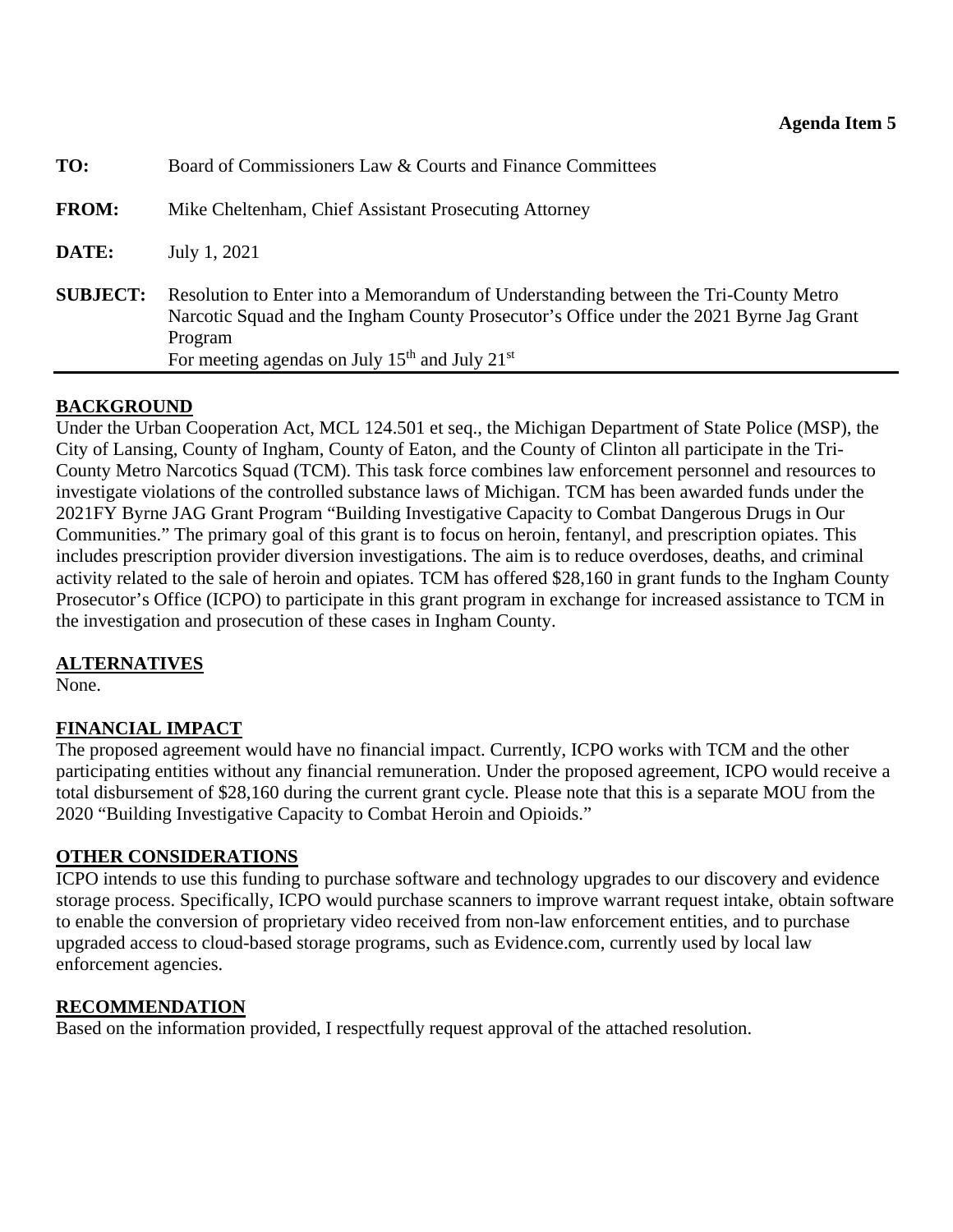<span id="page-14-0"></span>

| TO:             | Board of Commissioners Law & Courts and Finance Committees                                                                                                                                                                                      |  |  |  |  |  |
|-----------------|-------------------------------------------------------------------------------------------------------------------------------------------------------------------------------------------------------------------------------------------------|--|--|--|--|--|
| <b>FROM:</b>    | Mike Cheltenham, Chief Assistant Prosecuting Attorney                                                                                                                                                                                           |  |  |  |  |  |
| DATE:           | July 1, 2021                                                                                                                                                                                                                                    |  |  |  |  |  |
| <b>SUBJECT:</b> | Resolution to Enter into a Memorandum of Understanding between the Tri-County Metro<br>Narcotic Squad and the Ingham County Prosecutor's Office under the 2021 Byrne Jag Grant<br>Program<br>For meeting agendas on July $15th$ and July $21st$ |  |  |  |  |  |

## **BACKGROUND**

Under the Urban Cooperation Act, MCL 124.501 et seq., the Michigan Department of State Police (MSP), the City of Lansing, County of Ingham, County of Eaton, and the County of Clinton all participate in the Tri-County Metro Narcotics Squad (TCM). This task force combines law enforcement personnel and resources to investigate violations of the controlled substance laws of Michigan. TCM has been awarded funds under the 2021FY Byrne JAG Grant Program "Building Investigative Capacity to Combat Dangerous Drugs in Our Communities." The primary goal of this grant is to focus on heroin, fentanyl, and prescription opiates. This includes prescription provider diversion investigations. The aim is to reduce overdoses, deaths, and criminal activity related to the sale of heroin and opiates. TCM has offered \$28,160 in grant funds to the Ingham County Prosecutor's Office (ICPO) to participate in this grant program in exchange for increased assistance to TCM in the investigation and prosecution of these cases in Ingham County.

## **ALTERNATIVES**

None.

## **FINANCIAL IMPACT**

The proposed agreement would have no financial impact. Currently, ICPO works with TCM and the other participating entities without any financial remuneration. Under the proposed agreement, ICPO would receive a total disbursement of \$28,160 during the current grant cycle. Please note that this is a separate MOU from the 2020 "Building Investigative Capacity to Combat Heroin and Opioids."

#### **OTHER CONSIDERATIONS**

ICPO intends to use this funding to purchase software and technology upgrades to our discovery and evidence storage process. Specifically, ICPO would purchase scanners to improve warrant request intake, obtain software to enable the conversion of proprietary video received from non-law enforcement entities, and to purchase upgraded access to cloud-based storage programs, such as Evidence.com, currently used by local law enforcement agencies.

## **RECOMMENDATION**

Based on the information provided, I respectfully request approval of the attached resolution.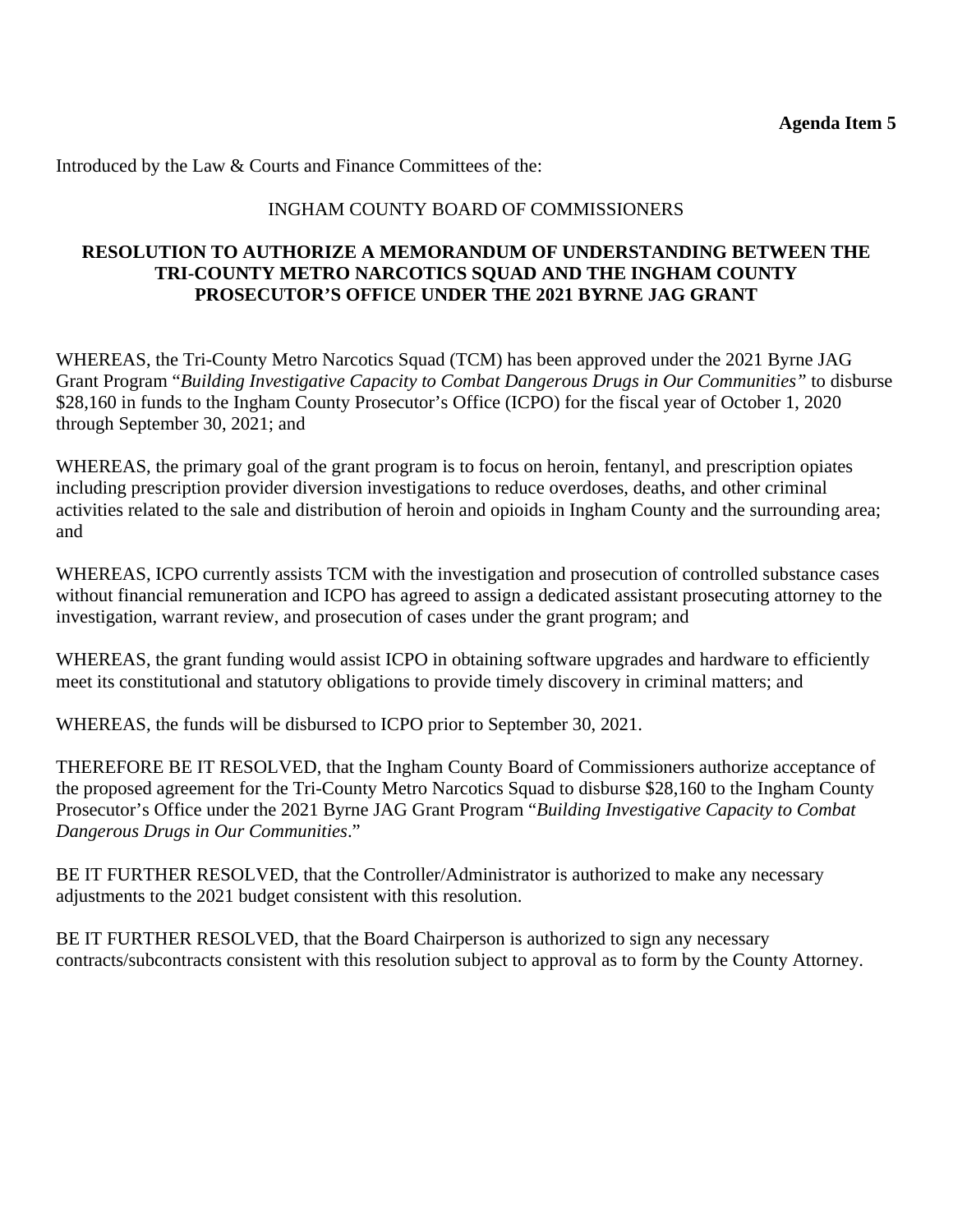Introduced by the Law & Courts and Finance Committees of the:

## INGHAM COUNTY BOARD OF COMMISSIONERS

#### **RESOLUTION TO AUTHORIZE A MEMORANDUM OF UNDERSTANDING BETWEEN THE TRI-COUNTY METRO NARCOTICS SQUAD AND THE INGHAM COUNTY PROSECUTOR'S OFFICE UNDER THE 2021 BYRNE JAG GRANT**

WHEREAS, the Tri-County Metro Narcotics Squad (TCM) has been approved under the 2021 Byrne JAG Grant Program "*Building Investigative Capacity to Combat Dangerous Drugs in Our Communities"* to disburse \$28,160 in funds to the Ingham County Prosecutor's Office (ICPO) for the fiscal year of October 1, 2020 through September 30, 2021; and

WHEREAS, the primary goal of the grant program is to focus on heroin, fentanyl, and prescription opiates including prescription provider diversion investigations to reduce overdoses, deaths, and other criminal activities related to the sale and distribution of heroin and opioids in Ingham County and the surrounding area; and

WHEREAS, ICPO currently assists TCM with the investigation and prosecution of controlled substance cases without financial remuneration and ICPO has agreed to assign a dedicated assistant prosecuting attorney to the investigation, warrant review, and prosecution of cases under the grant program; and

WHEREAS, the grant funding would assist ICPO in obtaining software upgrades and hardware to efficiently meet its constitutional and statutory obligations to provide timely discovery in criminal matters; and

WHEREAS, the funds will be disbursed to ICPO prior to September 30, 2021.

THEREFORE BE IT RESOLVED, that the Ingham County Board of Commissioners authorize acceptance of the proposed agreement for the Tri-County Metro Narcotics Squad to disburse \$28,160 to the Ingham County Prosecutor's Office under the 2021 Byrne JAG Grant Program "*Building Investigative Capacity to Combat Dangerous Drugs in Our Communities*."

BE IT FURTHER RESOLVED, that the Controller/Administrator is authorized to make any necessary adjustments to the 2021 budget consistent with this resolution.

BE IT FURTHER RESOLVED, that the Board Chairperson is authorized to sign any necessary contracts/subcontracts consistent with this resolution subject to approval as to form by the County Attorney.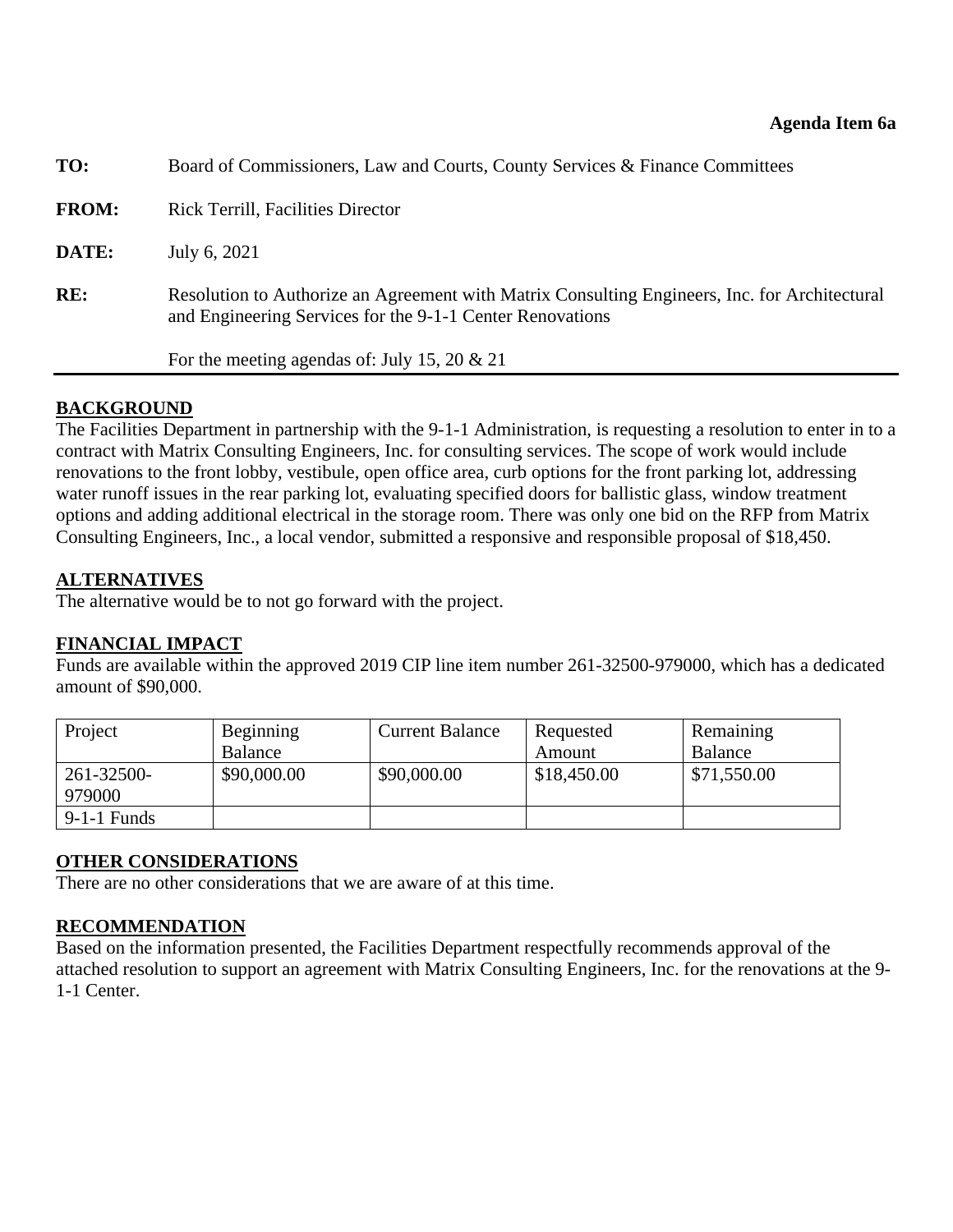<span id="page-16-0"></span>

| TO:          | Board of Commissioners, Law and Courts, County Services & Finance Committees                                                                               |
|--------------|------------------------------------------------------------------------------------------------------------------------------------------------------------|
| <b>FROM:</b> | <b>Rick Terrill, Facilities Director</b>                                                                                                                   |
| DATE:        | July 6, 2021                                                                                                                                               |
| RE:          | Resolution to Authorize an Agreement with Matrix Consulting Engineers, Inc. for Architectural<br>and Engineering Services for the 9-1-1 Center Renovations |
|              | For the meeting agendas of: July 15, 20 $\&$ 21                                                                                                            |
|              |                                                                                                                                                            |

#### **BACKGROUND**

The Facilities Department in partnership with the 9-1-1 Administration, is requesting a resolution to enter in to a contract with Matrix Consulting Engineers, Inc. for consulting services. The scope of work would include renovations to the front lobby, vestibule, open office area, curb options for the front parking lot, addressing water runoff issues in the rear parking lot, evaluating specified doors for ballistic glass, window treatment options and adding additional electrical in the storage room. There was only one bid on the RFP from Matrix Consulting Engineers, Inc., a local vendor, submitted a responsive and responsible proposal of \$18,450.

#### **ALTERNATIVES**

The alternative would be to not go forward with the project.

## **FINANCIAL IMPACT**

Funds are available within the approved 2019 CIP line item number 261-32500-979000, which has a dedicated amount of \$90,000.

| Project              | Beginning   | <b>Current Balance</b> | Requested   | Remaining   |
|----------------------|-------------|------------------------|-------------|-------------|
|                      | Balance     |                        | Amount      | Balance     |
| 261-32500-<br>979000 | \$90,000.00 | \$90,000.00            | \$18,450.00 | \$71,550.00 |
| $9-1-1$ Funds        |             |                        |             |             |

#### **OTHER CONSIDERATIONS**

There are no other considerations that we are aware of at this time.

## **RECOMMENDATION**

Based on the information presented, the Facilities Department respectfully recommends approval of the attached resolution to support an agreement with Matrix Consulting Engineers, Inc. for the renovations at the 9- 1-1 Center.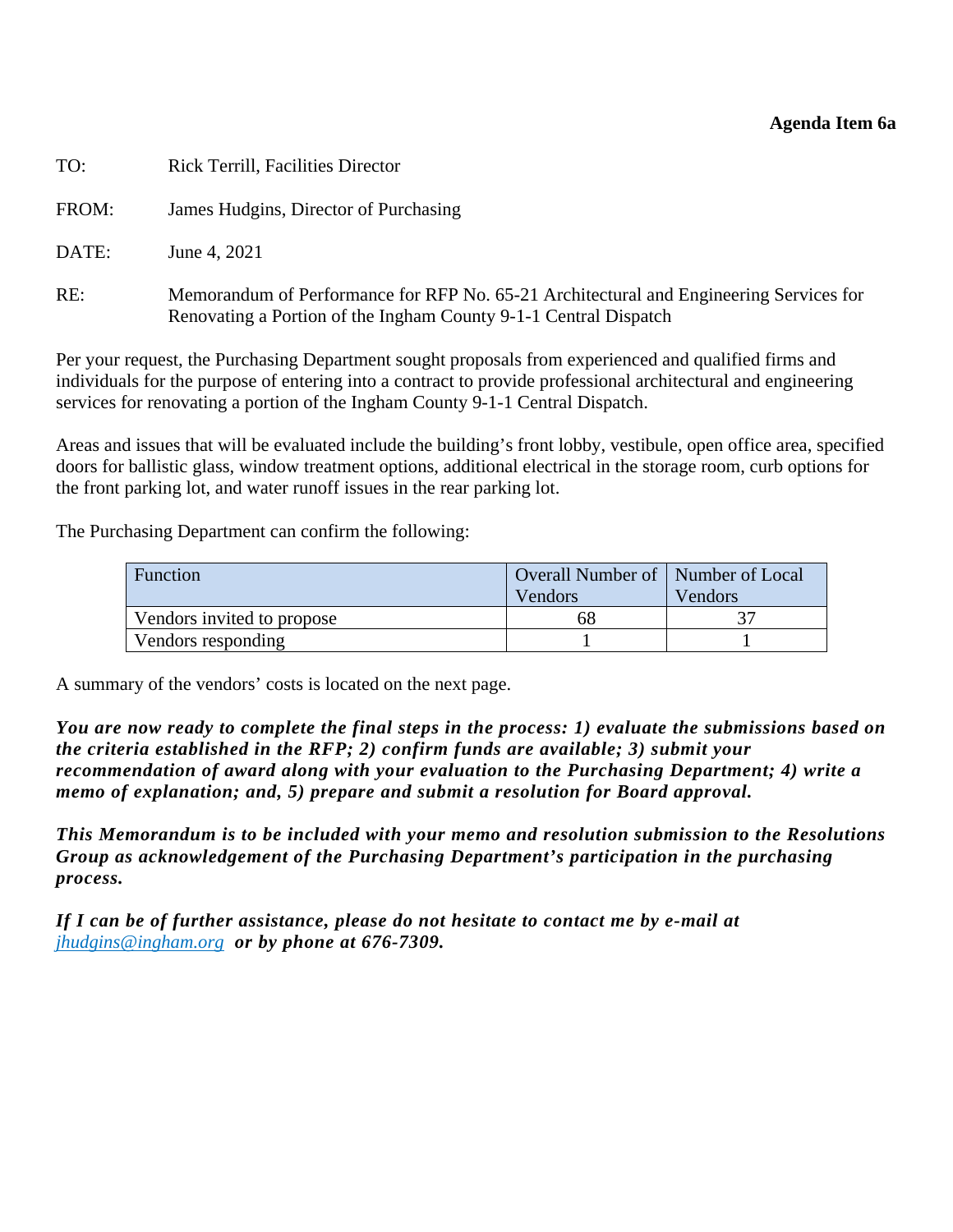#### **Agenda Item 6a**

| TO:   | <b>Rick Terrill, Facilities Director</b>                                                                                                                   |
|-------|------------------------------------------------------------------------------------------------------------------------------------------------------------|
| FROM: | James Hudgins, Director of Purchasing                                                                                                                      |
| DATE: | June 4, 2021                                                                                                                                               |
| RE:   | Memorandum of Performance for RFP No. 65-21 Architectural and Engineering Services for<br>Renovating a Portion of the Ingham County 9-1-1 Central Dispatch |

Per your request, the Purchasing Department sought proposals from experienced and qualified firms and individuals for the purpose of entering into a contract to provide professional architectural and engineering services for renovating a portion of the Ingham County 9-1-1 Central Dispatch.

Areas and issues that will be evaluated include the building's front lobby, vestibule, open office area, specified doors for ballistic glass, window treatment options, additional electrical in the storage room, curb options for the front parking lot, and water runoff issues in the rear parking lot.

The Purchasing Department can confirm the following:

| Function                   | <b>Overall Number of   Number of Local</b><br>Vendors | Vendors |
|----------------------------|-------------------------------------------------------|---------|
| Vendors invited to propose | 68                                                    |         |
| Vendors responding         |                                                       |         |

A summary of the vendors' costs is located on the next page.

*You are now ready to complete the final steps in the process: 1) evaluate the submissions based on the criteria established in the RFP; 2) confirm funds are available; 3) submit your recommendation of award along with your evaluation to the Purchasing Department; 4) write a memo of explanation; and, 5) prepare and submit a resolution for Board approval.* 

*This Memorandum is to be included with your memo and resolution submission to the Resolutions Group as acknowledgement of the Purchasing Department's participation in the purchasing process.* 

*If I can be of further assistance, please do not hesitate to contact me by e-mail at jhudgins@ingham.org or by phone at 676-7309.*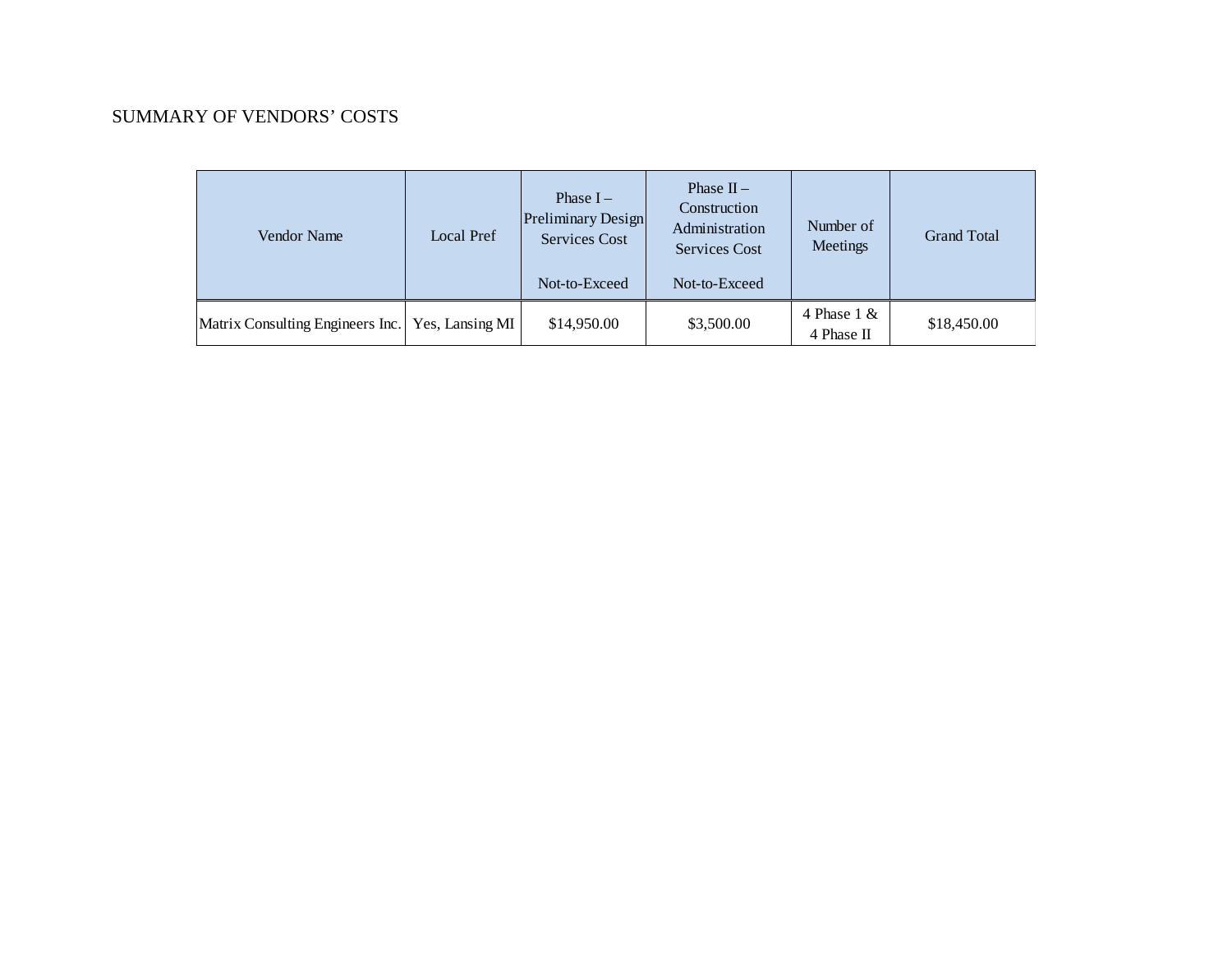#### SUMMARY OF VENDORS' COSTS

| Vendor Name                                        | Local Pref | Phase $I -$<br>Preliminary Design<br>Services Cost<br>Not-to-Exceed | Phase $II -$<br>Construction<br>Administration<br><b>Services Cost</b><br>Not-to-Exceed | Number of<br>Meetings       | <b>Grand Total</b> |
|----------------------------------------------------|------------|---------------------------------------------------------------------|-----------------------------------------------------------------------------------------|-----------------------------|--------------------|
| Matrix Consulting Engineers Inc.   Yes, Lansing MI |            | \$14,950.00                                                         | \$3,500.00                                                                              | 4 Phase $1 &$<br>4 Phase II | \$18,450.00        |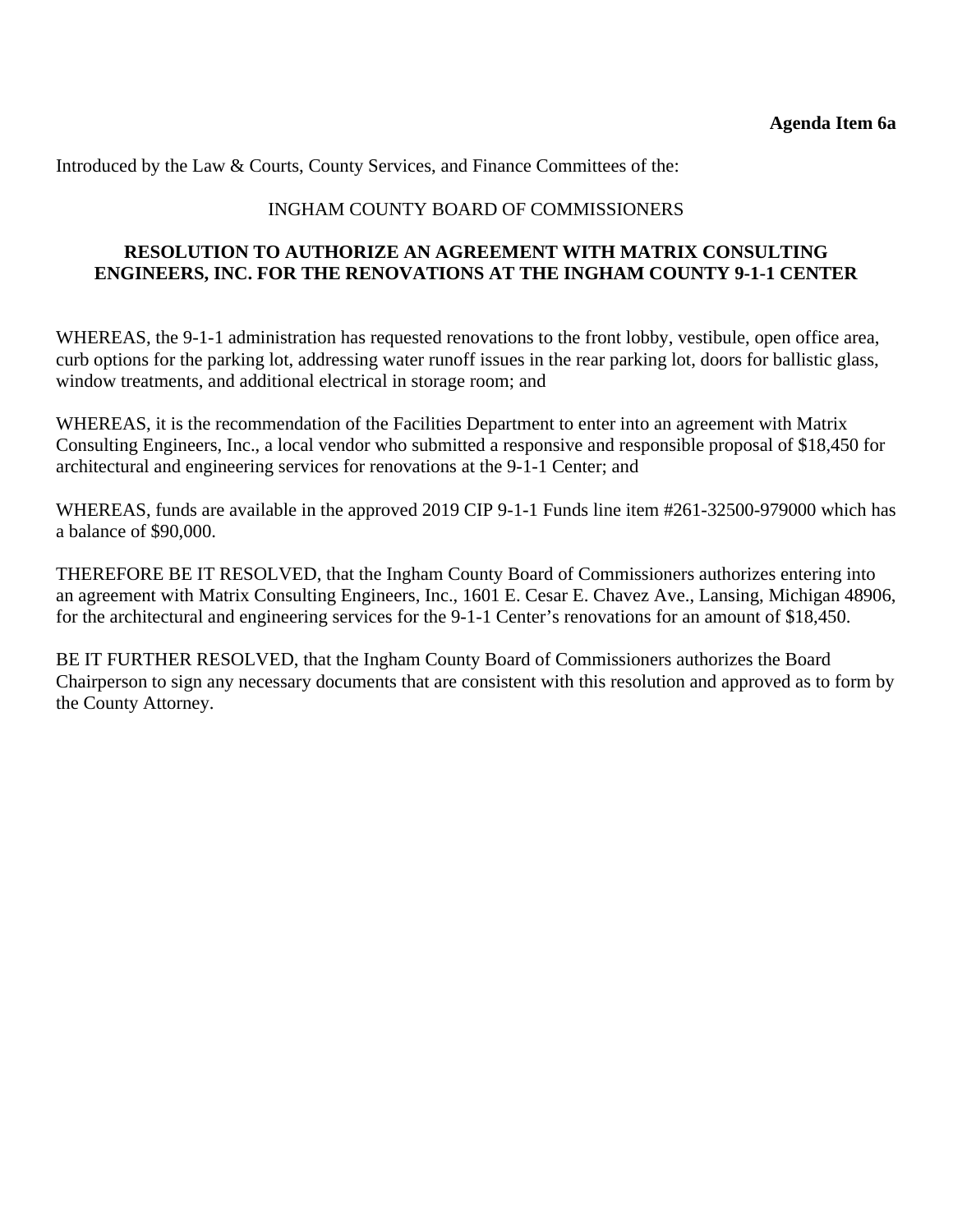Introduced by the Law & Courts, County Services, and Finance Committees of the:

#### INGHAM COUNTY BOARD OF COMMISSIONERS

## **RESOLUTION TO AUTHORIZE AN AGREEMENT WITH MATRIX CONSULTING ENGINEERS, INC. FOR THE RENOVATIONS AT THE INGHAM COUNTY 9-1-1 CENTER**

WHEREAS, the 9-1-1 administration has requested renovations to the front lobby, vestibule, open office area, curb options for the parking lot, addressing water runoff issues in the rear parking lot, doors for ballistic glass, window treatments, and additional electrical in storage room; and

WHEREAS, it is the recommendation of the Facilities Department to enter into an agreement with Matrix Consulting Engineers, Inc., a local vendor who submitted a responsive and responsible proposal of \$18,450 for architectural and engineering services for renovations at the 9-1-1 Center; and

WHEREAS, funds are available in the approved 2019 CIP 9-1-1 Funds line item #261-32500-979000 which has a balance of \$90,000.

THEREFORE BE IT RESOLVED, that the Ingham County Board of Commissioners authorizes entering into an agreement with Matrix Consulting Engineers, Inc., 1601 E. Cesar E. Chavez Ave., Lansing, Michigan 48906, for the architectural and engineering services for the 9-1-1 Center's renovations for an amount of \$18,450.

BE IT FURTHER RESOLVED, that the Ingham County Board of Commissioners authorizes the Board Chairperson to sign any necessary documents that are consistent with this resolution and approved as to form by the County Attorney.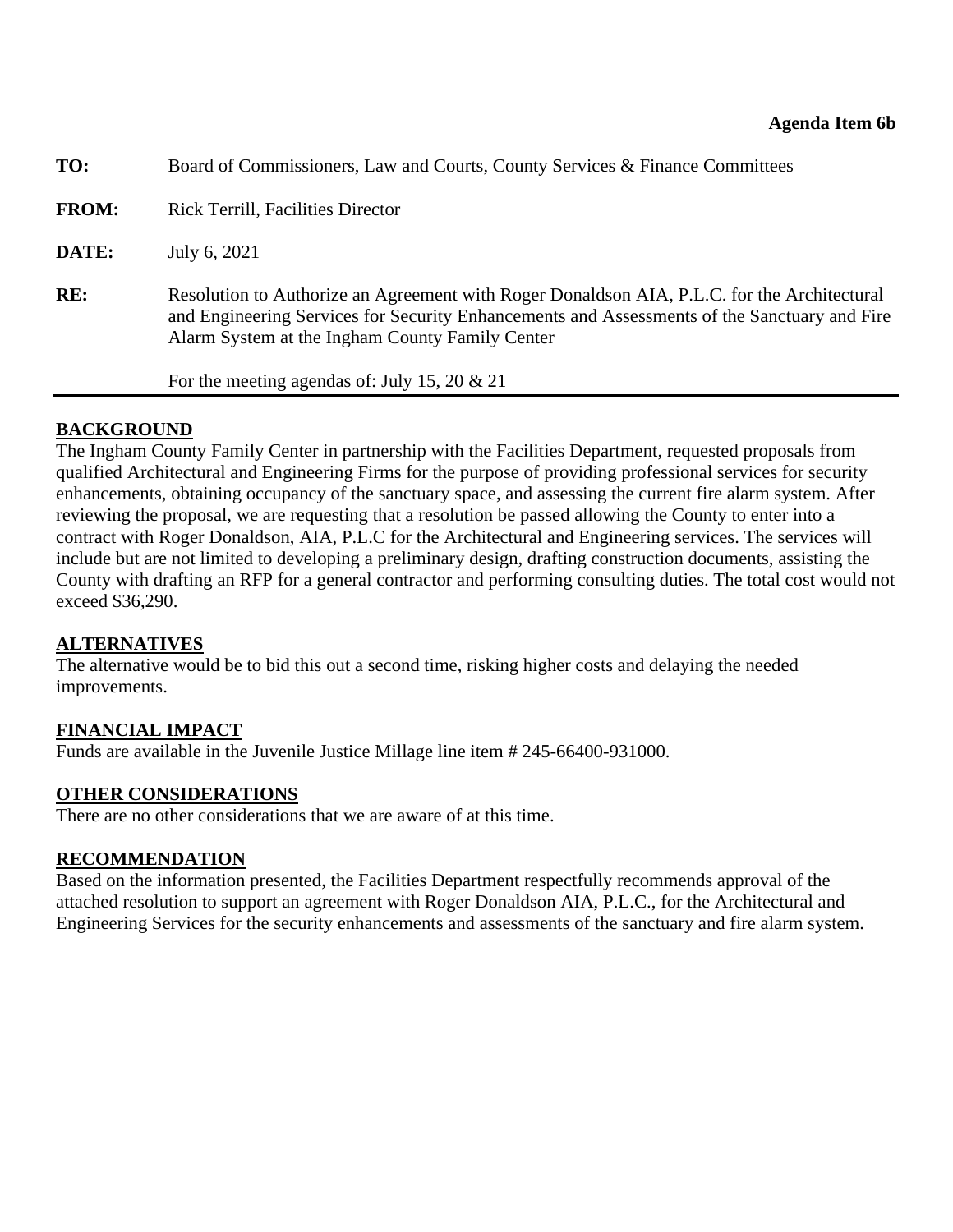<span id="page-20-0"></span>

| TO:          | Board of Commissioners, Law and Courts, County Services & Finance Committees                                                                                                                                                                   |  |  |  |  |  |
|--------------|------------------------------------------------------------------------------------------------------------------------------------------------------------------------------------------------------------------------------------------------|--|--|--|--|--|
| <b>FROM:</b> | <b>Rick Terrill, Facilities Director</b>                                                                                                                                                                                                       |  |  |  |  |  |
| DATE:        | July 6, 2021                                                                                                                                                                                                                                   |  |  |  |  |  |
| RE:          | Resolution to Authorize an Agreement with Roger Donaldson AIA, P.L.C. for the Architectural<br>and Engineering Services for Security Enhancements and Assessments of the Sanctuary and Fire<br>Alarm System at the Ingham County Family Center |  |  |  |  |  |
|              | For the meeting agendas of: July 15, 20 $\&$ 21                                                                                                                                                                                                |  |  |  |  |  |

## **BACKGROUND**

The Ingham County Family Center in partnership with the Facilities Department, requested proposals from qualified Architectural and Engineering Firms for the purpose of providing professional services for security enhancements, obtaining occupancy of the sanctuary space, and assessing the current fire alarm system. After reviewing the proposal, we are requesting that a resolution be passed allowing the County to enter into a contract with Roger Donaldson, AIA, P.L.C for the Architectural and Engineering services. The services will include but are not limited to developing a preliminary design, drafting construction documents, assisting the County with drafting an RFP for a general contractor and performing consulting duties. The total cost would not exceed \$36,290.

## **ALTERNATIVES**

The alternative would be to bid this out a second time, risking higher costs and delaying the needed improvements.

## **FINANCIAL IMPACT**

Funds are available in the Juvenile Justice Millage line item # 245-66400-931000.

## **OTHER CONSIDERATIONS**

There are no other considerations that we are aware of at this time.

## **RECOMMENDATION**

Based on the information presented, the Facilities Department respectfully recommends approval of the attached resolution to support an agreement with Roger Donaldson AIA, P.L.C., for the Architectural and Engineering Services for the security enhancements and assessments of the sanctuary and fire alarm system.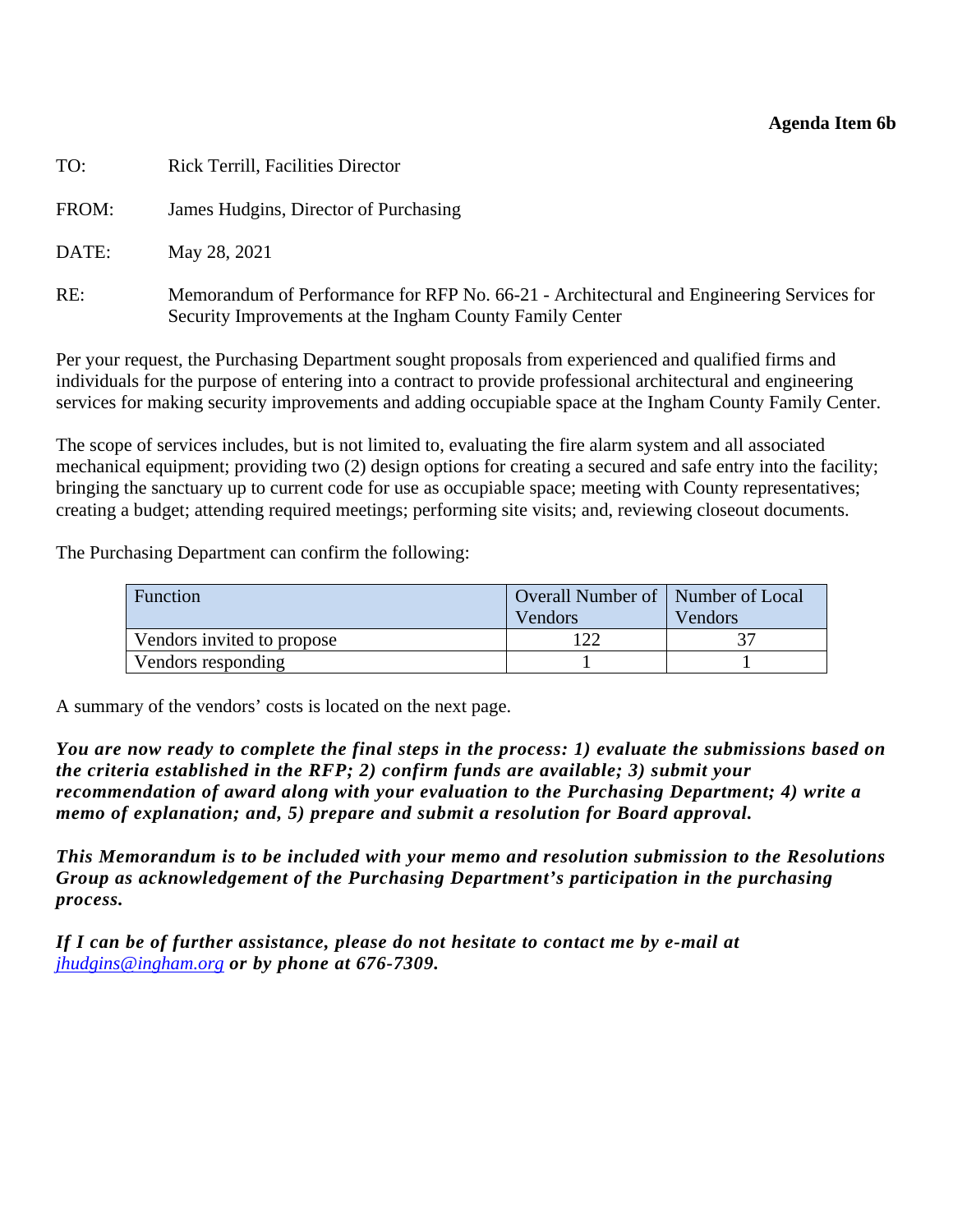#### **Agenda Item 6b**

| TO:   | <b>Rick Terrill, Facilities Director</b>                                                                                                             |
|-------|------------------------------------------------------------------------------------------------------------------------------------------------------|
| FROM: | James Hudgins, Director of Purchasing                                                                                                                |
| DATE: | May 28, 2021                                                                                                                                         |
| RE:   | Memorandum of Performance for RFP No. 66-21 - Architectural and Engineering Services for<br>Security Improvements at the Ingham County Family Center |

Per your request, the Purchasing Department sought proposals from experienced and qualified firms and individuals for the purpose of entering into a contract to provide professional architectural and engineering services for making security improvements and adding occupiable space at the Ingham County Family Center.

The scope of services includes, but is not limited to, evaluating the fire alarm system and all associated mechanical equipment; providing two (2) design options for creating a secured and safe entry into the facility; bringing the sanctuary up to current code for use as occupiable space; meeting with County representatives; creating a budget; attending required meetings; performing site visits; and, reviewing closeout documents.

The Purchasing Department can confirm the following:

| Function                   | Overall Number of   Number of Local<br>Vendors | Vendors |  |
|----------------------------|------------------------------------------------|---------|--|
| Vendors invited to propose |                                                |         |  |
| Vendors responding         |                                                |         |  |

A summary of the vendors' costs is located on the next page.

*You are now ready to complete the final steps in the process: 1) evaluate the submissions based on the criteria established in the RFP; 2) confirm funds are available; 3) submit your recommendation of award along with your evaluation to the Purchasing Department; 4) write a memo of explanation; and, 5) prepare and submit a resolution for Board approval.* 

*This Memorandum is to be included with your memo and resolution submission to the Resolutions Group as acknowledgement of the Purchasing Department's participation in the purchasing process.* 

*If I can be of further assistance, please do not hesitate to contact me by e-mail at jhudgins@ingham.org or by phone at 676-7309.*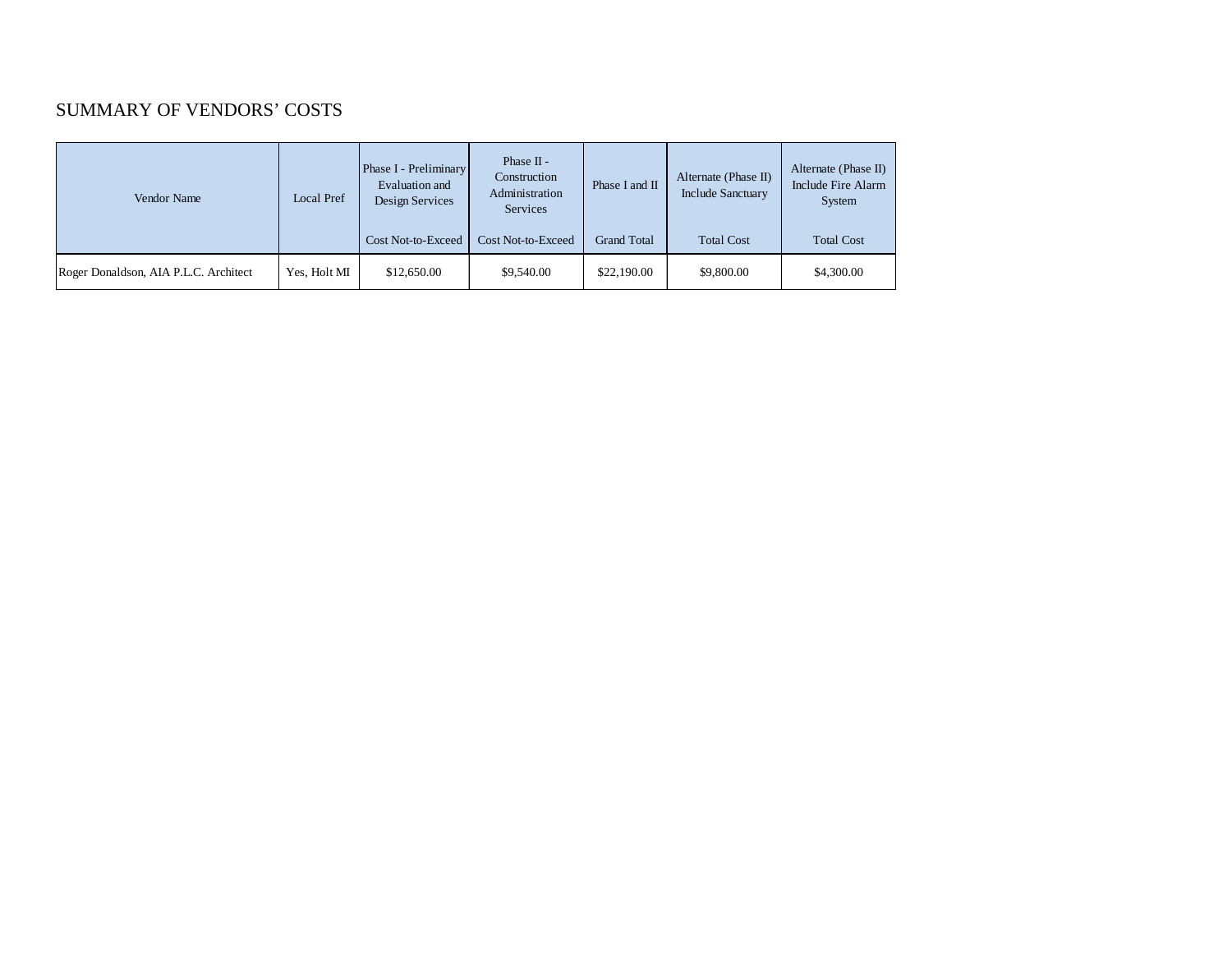#### SUMMARY OF VENDORS' COSTS

| Vendor Name                           | Local Pref   | Phase I - Preliminary<br>Evaluation and<br>Design Services | Phase II -<br>Construction<br>Administration<br>Services | Phase I and II     | Alternate (Phase II)<br><b>Include Sanctuary</b> | Alternate (Phase II)<br>Include Fire Alarm<br>System |
|---------------------------------------|--------------|------------------------------------------------------------|----------------------------------------------------------|--------------------|--------------------------------------------------|------------------------------------------------------|
|                                       |              | Cost Not-to-Exceed                                         | <b>Cost Not-to-Exceed</b>                                | <b>Grand Total</b> | <b>Total Cost</b>                                | <b>Total Cost</b>                                    |
| Roger Donaldson, AIA P.L.C. Architect | Yes. Holt MI | \$12,650.00                                                | \$9,540.00                                               | \$22,190.00        | \$9,800.00                                       | \$4,300.00                                           |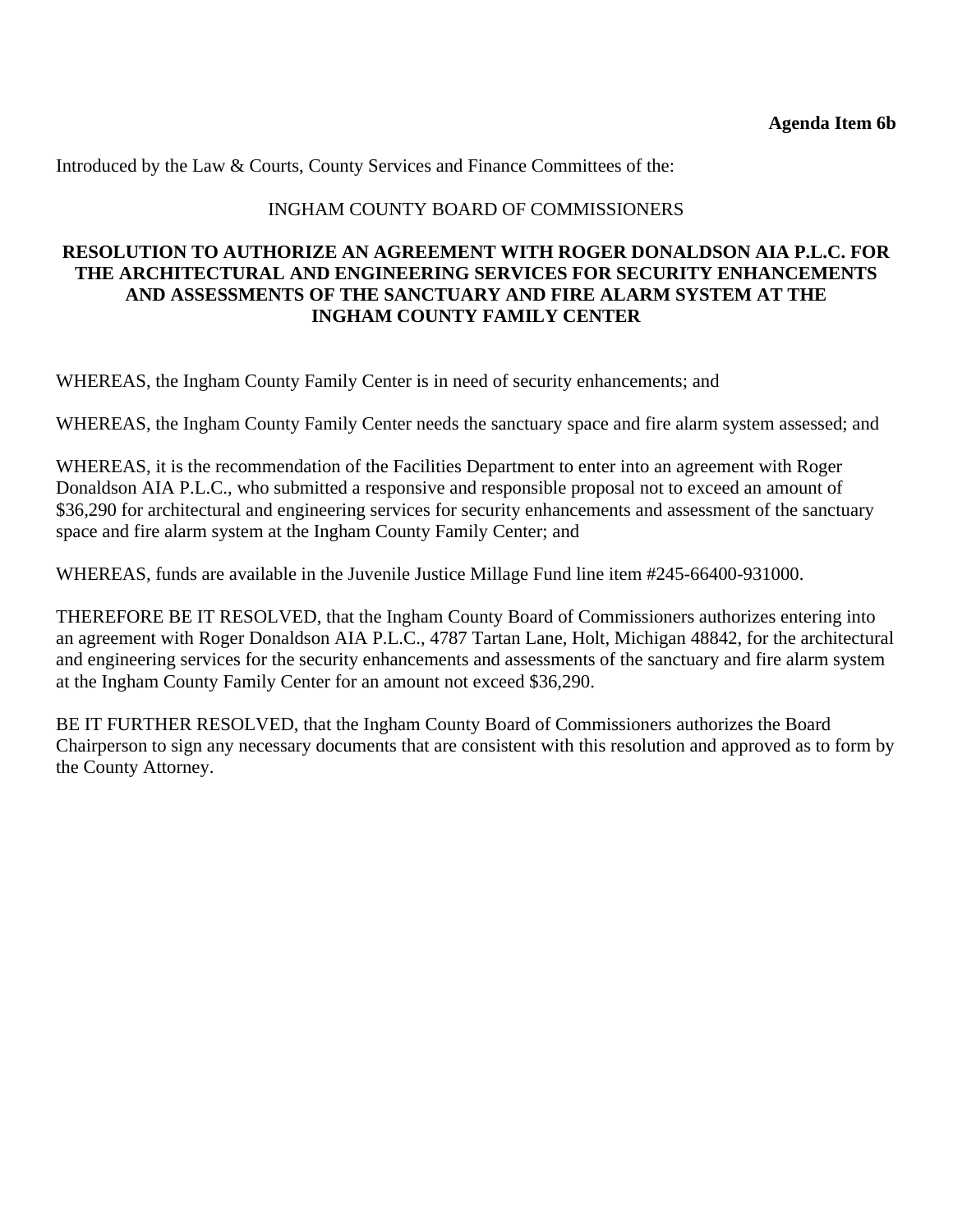Introduced by the Law & Courts, County Services and Finance Committees of the:

#### INGHAM COUNTY BOARD OF COMMISSIONERS

## **RESOLUTION TO AUTHORIZE AN AGREEMENT WITH ROGER DONALDSON AIA P.L.C. FOR THE ARCHITECTURAL AND ENGINEERING SERVICES FOR SECURITY ENHANCEMENTS AND ASSESSMENTS OF THE SANCTUARY AND FIRE ALARM SYSTEM AT THE INGHAM COUNTY FAMILY CENTER**

WHEREAS, the Ingham County Family Center is in need of security enhancements; and

WHEREAS, the Ingham County Family Center needs the sanctuary space and fire alarm system assessed; and

WHEREAS, it is the recommendation of the Facilities Department to enter into an agreement with Roger Donaldson AIA P.L.C., who submitted a responsive and responsible proposal not to exceed an amount of \$36,290 for architectural and engineering services for security enhancements and assessment of the sanctuary space and fire alarm system at the Ingham County Family Center; and

WHEREAS, funds are available in the Juvenile Justice Millage Fund line item #245-66400-931000.

THEREFORE BE IT RESOLVED, that the Ingham County Board of Commissioners authorizes entering into an agreement with Roger Donaldson AIA P.L.C., 4787 Tartan Lane, Holt, Michigan 48842, for the architectural and engineering services for the security enhancements and assessments of the sanctuary and fire alarm system at the Ingham County Family Center for an amount not exceed \$36,290.

BE IT FURTHER RESOLVED, that the Ingham County Board of Commissioners authorizes the Board Chairperson to sign any necessary documents that are consistent with this resolution and approved as to form by the County Attorney.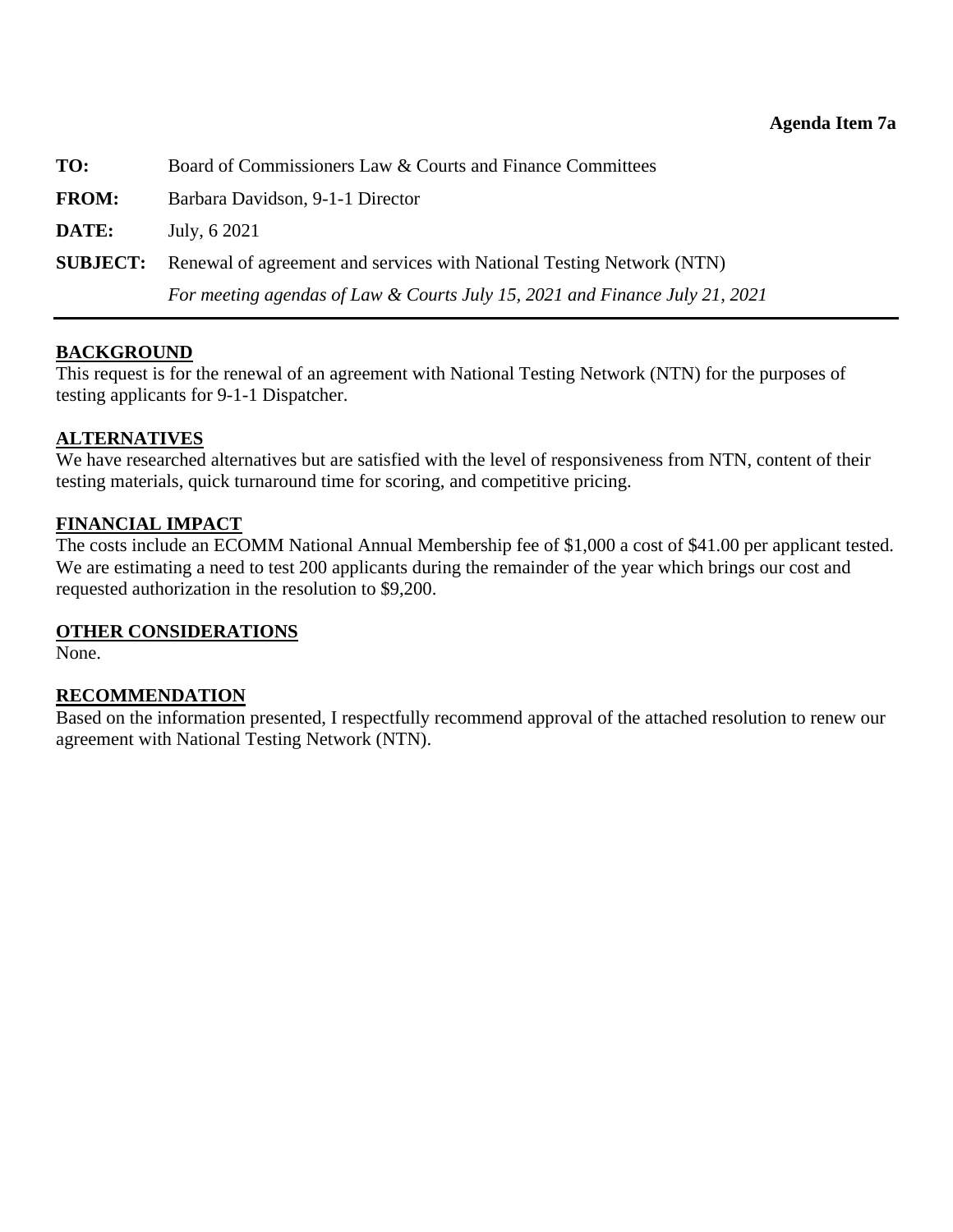<span id="page-24-0"></span>

| TO:             | Board of Commissioners Law & Courts and Finance Committees                  |  |
|-----------------|-----------------------------------------------------------------------------|--|
| <b>FROM:</b>    | Barbara Davidson, 9-1-1 Director                                            |  |
| DATE:           | July, 6 2021                                                                |  |
| <b>SUBJECT:</b> | Renewal of agreement and services with National Testing Network (NTN)       |  |
|                 | For meeting agendas of Law & Courts July 15, 2021 and Finance July 21, 2021 |  |

## **BACKGROUND**

This request is for the renewal of an agreement with National Testing Network (NTN) for the purposes of testing applicants for 9-1-1 Dispatcher.

#### **ALTERNATIVES**

We have researched alternatives but are satisfied with the level of responsiveness from NTN, content of their testing materials, quick turnaround time for scoring, and competitive pricing.

#### **FINANCIAL IMPACT**

The costs include an ECOMM National Annual Membership fee of \$1,000 a cost of \$41.00 per applicant tested. We are estimating a need to test 200 applicants during the remainder of the year which brings our cost and requested authorization in the resolution to \$9,200.

#### **OTHER CONSIDERATIONS**

None.

#### **RECOMMENDATION**

Based on the information presented, I respectfully recommend approval of the attached resolution to renew our agreement with National Testing Network (NTN).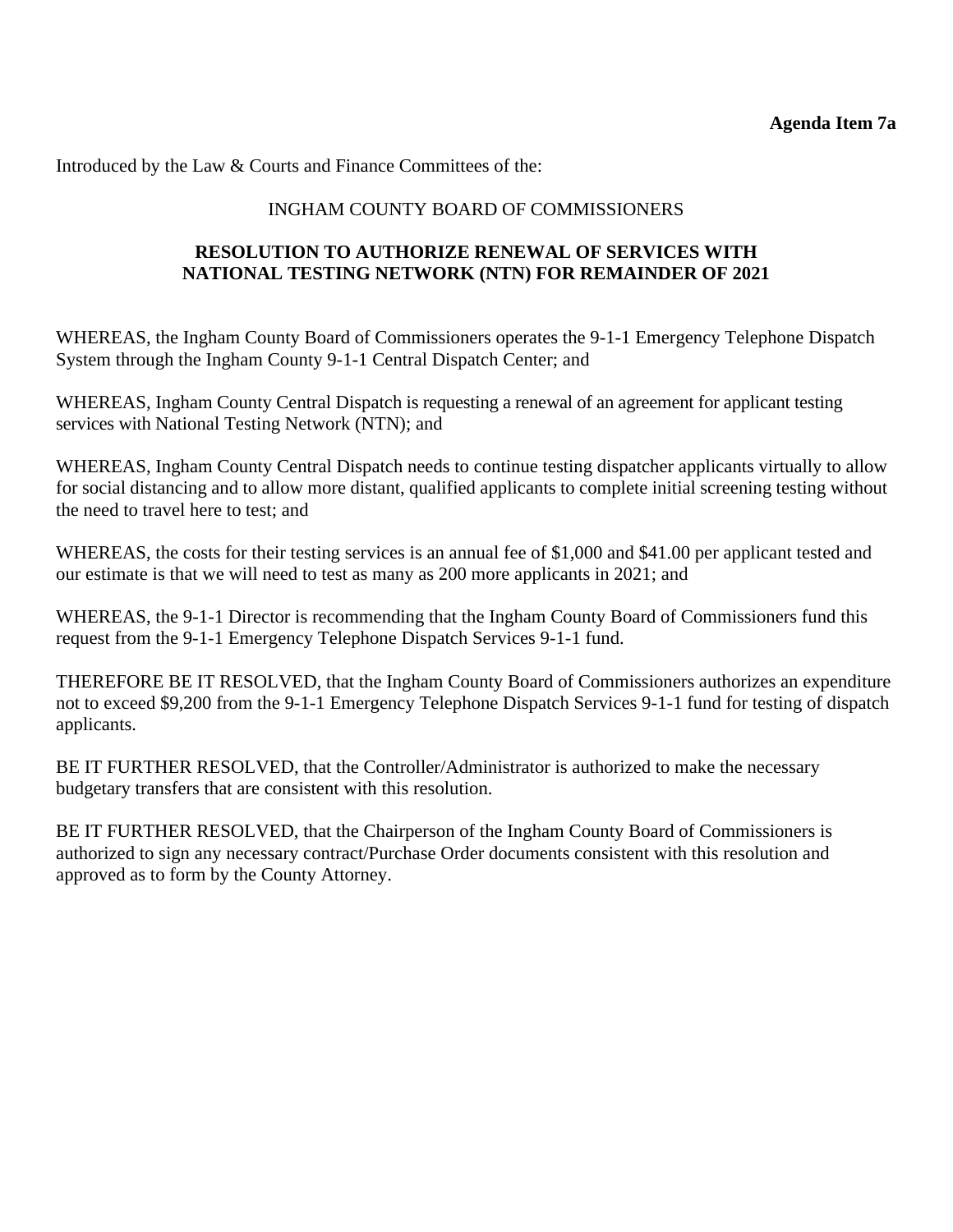Introduced by the Law & Courts and Finance Committees of the:

#### INGHAM COUNTY BOARD OF COMMISSIONERS

## **RESOLUTION TO AUTHORIZE RENEWAL OF SERVICES WITH NATIONAL TESTING NETWORK (NTN) FOR REMAINDER OF 2021**

WHEREAS, the Ingham County Board of Commissioners operates the 9-1-1 Emergency Telephone Dispatch System through the Ingham County 9-1-1 Central Dispatch Center; and

WHEREAS, Ingham County Central Dispatch is requesting a renewal of an agreement for applicant testing services with National Testing Network (NTN); and

WHEREAS, Ingham County Central Dispatch needs to continue testing dispatcher applicants virtually to allow for social distancing and to allow more distant, qualified applicants to complete initial screening testing without the need to travel here to test; and

WHEREAS, the costs for their testing services is an annual fee of \$1,000 and \$41.00 per applicant tested and our estimate is that we will need to test as many as 200 more applicants in 2021; and

WHEREAS, the 9-1-1 Director is recommending that the Ingham County Board of Commissioners fund this request from the 9-1-1 Emergency Telephone Dispatch Services 9-1-1 fund.

THEREFORE BE IT RESOLVED, that the Ingham County Board of Commissioners authorizes an expenditure not to exceed \$9,200 from the 9-1-1 Emergency Telephone Dispatch Services 9-1-1 fund for testing of dispatch applicants.

BE IT FURTHER RESOLVED, that the Controller/Administrator is authorized to make the necessary budgetary transfers that are consistent with this resolution.

BE IT FURTHER RESOLVED, that the Chairperson of the Ingham County Board of Commissioners is authorized to sign any necessary contract/Purchase Order documents consistent with this resolution and approved as to form by the County Attorney.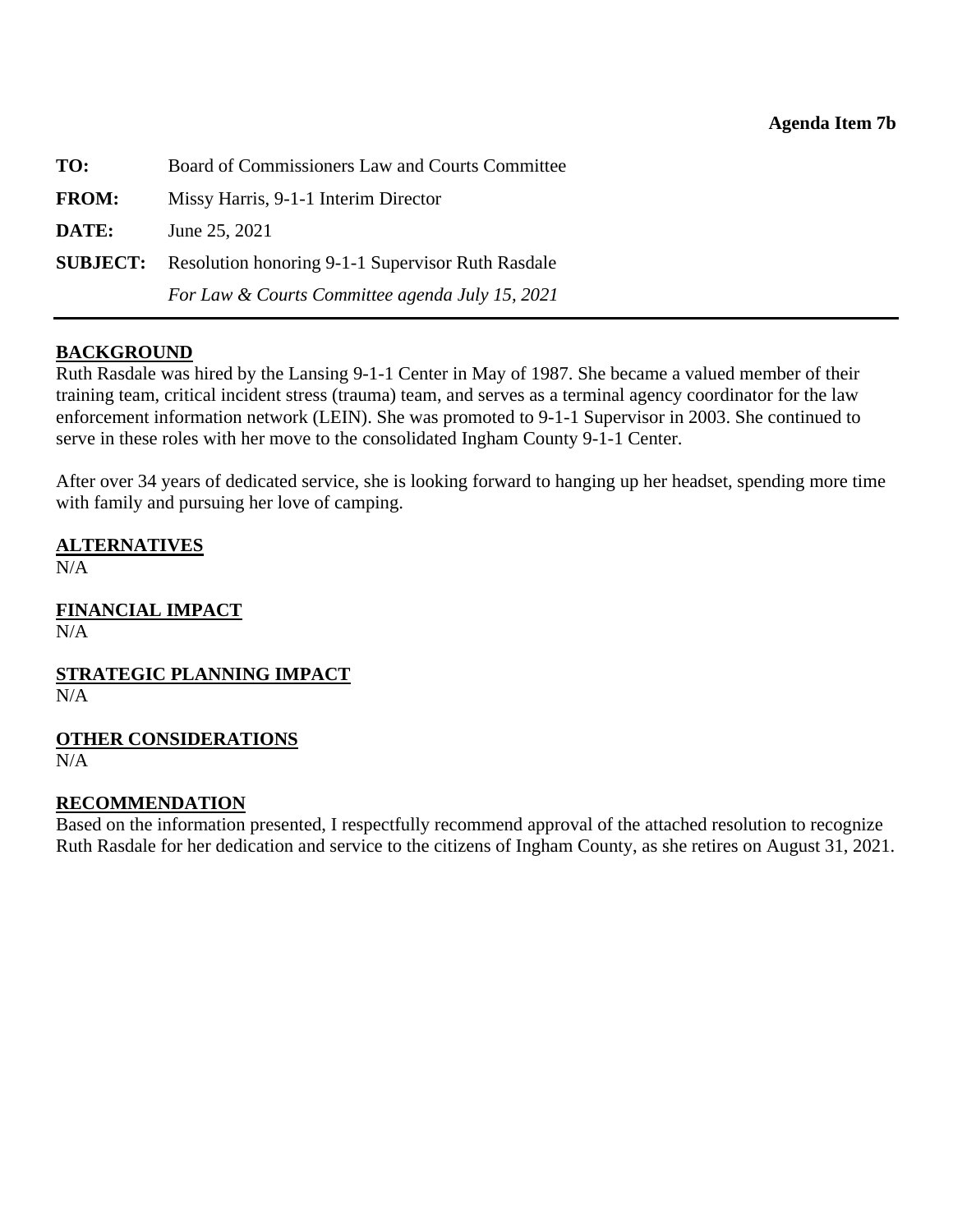<span id="page-26-0"></span>

| TO:          | Board of Commissioners Law and Courts Committee                   |  |
|--------------|-------------------------------------------------------------------|--|
| <b>FROM:</b> | Missy Harris, 9-1-1 Interim Director                              |  |
| DATE:        | June 25, 2021                                                     |  |
|              | <b>SUBJECT:</b> Resolution honoring 9-1-1 Supervisor Ruth Rasdale |  |
|              | For Law & Courts Committee agenda July 15, 2021                   |  |

## **BACKGROUND**

Ruth Rasdale was hired by the Lansing 9-1-1 Center in May of 1987. She became a valued member of their training team, critical incident stress (trauma) team, and serves as a terminal agency coordinator for the law enforcement information network (LEIN). She was promoted to 9-1-1 Supervisor in 2003. She continued to serve in these roles with her move to the consolidated Ingham County 9-1-1 Center.

After over 34 years of dedicated service, she is looking forward to hanging up her headset, spending more time with family and pursuing her love of camping.

**ALTERNATIVES**  $\overline{N}/\overline{A}$ 

**FINANCIAL IMPACT** N/A

**STRATEGIC PLANNING IMPACT**   $N/A$ 

**OTHER CONSIDERATIONS**

N/A

#### **RECOMMENDATION**

Based on the information presented, I respectfully recommend approval of the attached resolution to recognize Ruth Rasdale for her dedication and service to the citizens of Ingham County, as she retires on August 31, 2021.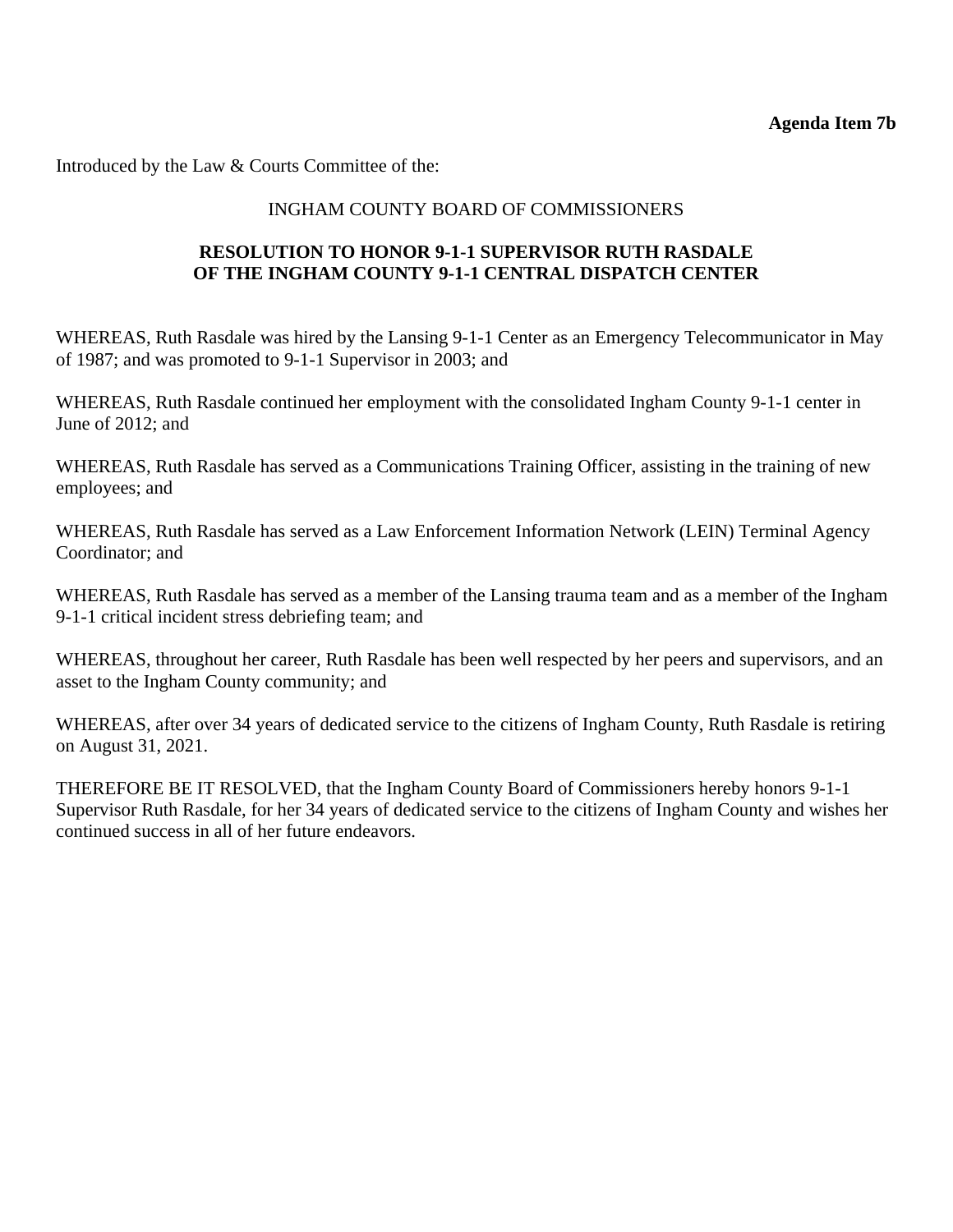Introduced by the Law & Courts Committee of the:

#### INGHAM COUNTY BOARD OF COMMISSIONERS

## **RESOLUTION TO HONOR 9-1-1 SUPERVISOR RUTH RASDALE OF THE INGHAM COUNTY 9-1-1 CENTRAL DISPATCH CENTER**

WHEREAS, Ruth Rasdale was hired by the Lansing 9-1-1 Center as an Emergency Telecommunicator in May of 1987; and was promoted to 9-1-1 Supervisor in 2003; and

WHEREAS, Ruth Rasdale continued her employment with the consolidated Ingham County 9-1-1 center in June of 2012; and

WHEREAS, Ruth Rasdale has served as a Communications Training Officer, assisting in the training of new employees; and

WHEREAS, Ruth Rasdale has served as a Law Enforcement Information Network (LEIN) Terminal Agency Coordinator; and

WHEREAS, Ruth Rasdale has served as a member of the Lansing trauma team and as a member of the Ingham 9-1-1 critical incident stress debriefing team; and

WHEREAS, throughout her career, Ruth Rasdale has been well respected by her peers and supervisors, and an asset to the Ingham County community; and

WHEREAS, after over 34 years of dedicated service to the citizens of Ingham County, Ruth Rasdale is retiring on August 31, 2021.

THEREFORE BE IT RESOLVED, that the Ingham County Board of Commissioners hereby honors 9-1-1 Supervisor Ruth Rasdale, for her 34 years of dedicated service to the citizens of Ingham County and wishes her continued success in all of her future endeavors.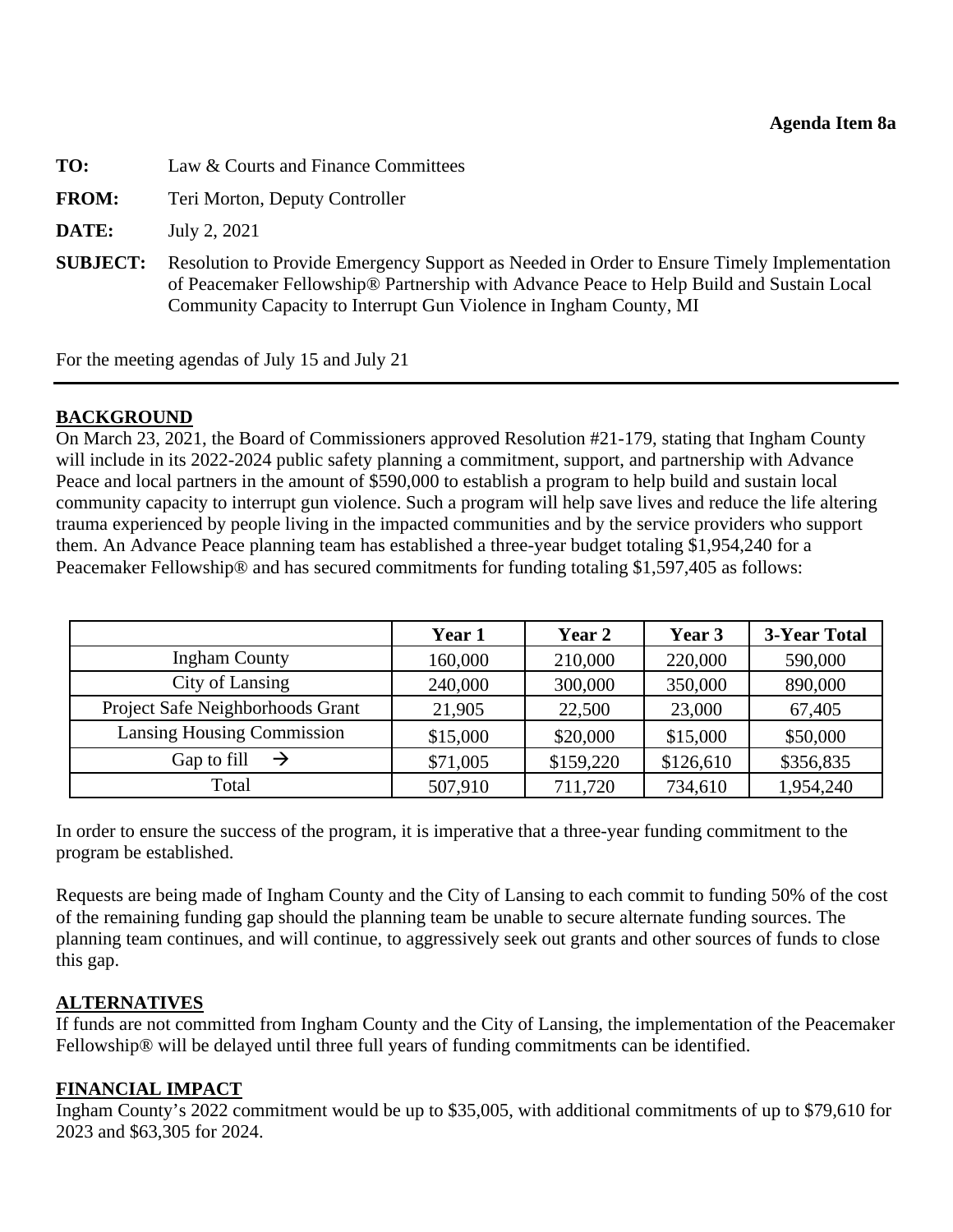<span id="page-28-0"></span>

| TO:             | Law & Courts and Finance Committees                                                                                                                                                                                                                         |  |
|-----------------|-------------------------------------------------------------------------------------------------------------------------------------------------------------------------------------------------------------------------------------------------------------|--|
| <b>FROM:</b>    | Teri Morton, Deputy Controller                                                                                                                                                                                                                              |  |
| DATE:           | July 2, 2021                                                                                                                                                                                                                                                |  |
| <b>SUBJECT:</b> | Resolution to Provide Emergency Support as Needed in Order to Ensure Timely Implementation<br>of Peacemaker Fellowship® Partnership with Advance Peace to Help Build and Sustain Local<br>Community Capacity to Interrupt Gun Violence in Ingham County, MI |  |

For the meeting agendas of July 15 and July 21

## **BACKGROUND**

On March 23, 2021, the Board of Commissioners approved Resolution #21-179, stating that Ingham County will include in its 2022-2024 public safety planning a commitment, support, and partnership with Advance Peace and local partners in the amount of \$590,000 to establish a program to help build and sustain local community capacity to interrupt gun violence. Such a program will help save lives and reduce the life altering trauma experienced by people living in the impacted communities and by the service providers who support them. An Advance Peace planning team has established a three-year budget totaling \$1,954,240 for a Peacemaker Fellowship® and has secured commitments for funding totaling \$1,597,405 as follows:

|                                   | Year 1   | Year 2    | Year 3    | 3-Year Total |
|-----------------------------------|----------|-----------|-----------|--------------|
| <b>Ingham County</b>              | 160,000  | 210,000   | 220,000   | 590,000      |
| City of Lansing                   | 240,000  | 300,000   | 350,000   | 890,000      |
| Project Safe Neighborhoods Grant  | 21,905   | 22,500    | 23,000    | 67,405       |
| <b>Lansing Housing Commission</b> | \$15,000 | \$20,000  | \$15,000  | \$50,000     |
| Gap to fill                       | \$71,005 | \$159,220 | \$126,610 | \$356,835    |
| Total                             | 507,910  | 711,720   | 734,610   | 1,954,240    |

In order to ensure the success of the program, it is imperative that a three-year funding commitment to the program be established.

Requests are being made of Ingham County and the City of Lansing to each commit to funding 50% of the cost of the remaining funding gap should the planning team be unable to secure alternate funding sources. The planning team continues, and will continue, to aggressively seek out grants and other sources of funds to close this gap.

## **ALTERNATIVES**

If funds are not committed from Ingham County and the City of Lansing, the implementation of the Peacemaker Fellowship® will be delayed until three full years of funding commitments can be identified.

## **FINANCIAL IMPACT**

Ingham County's 2022 commitment would be up to \$35,005, with additional commitments of up to \$79,610 for 2023 and \$63,305 for 2024.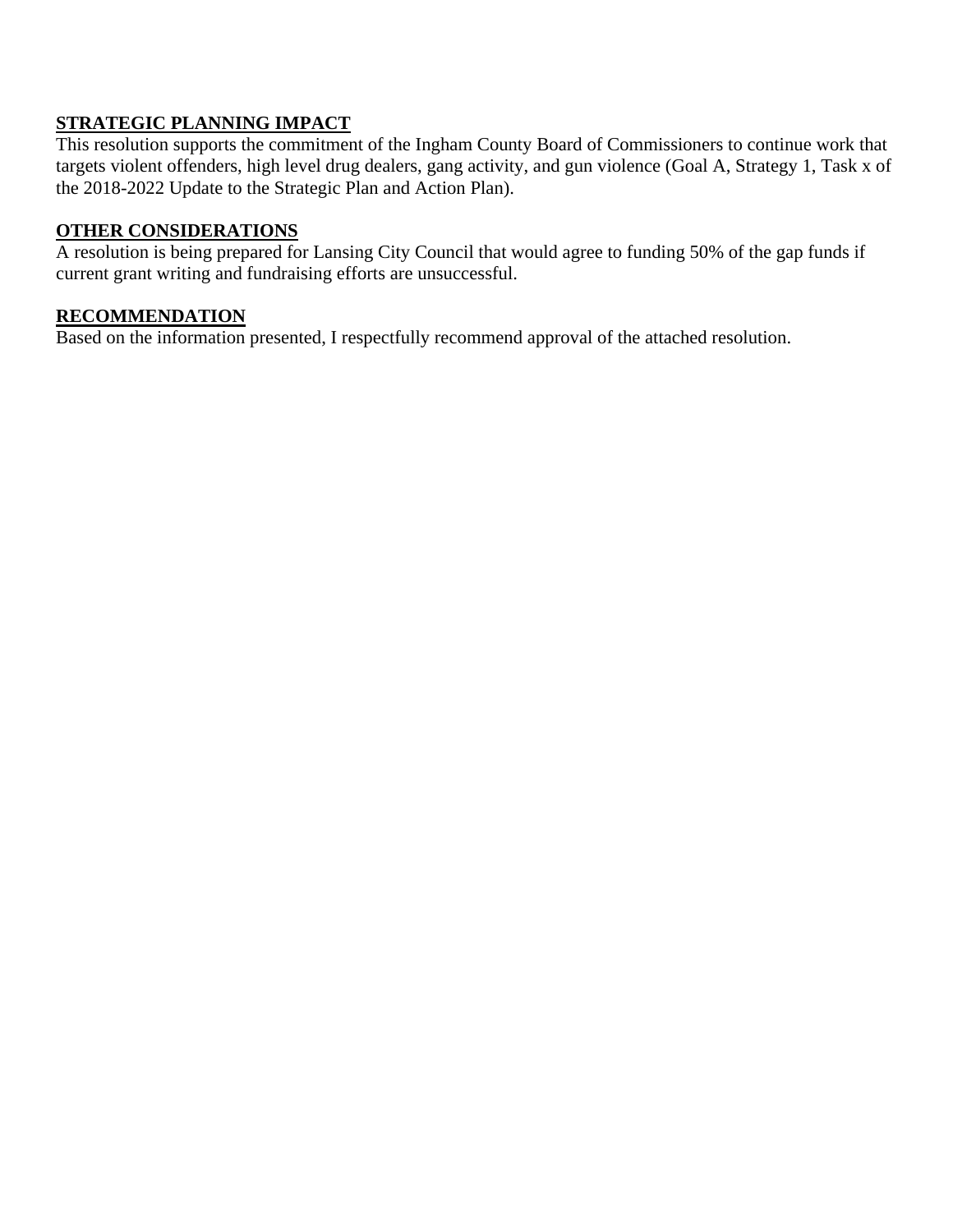## **STRATEGIC PLANNING IMPACT**

This resolution supports the commitment of the Ingham County Board of Commissioners to continue work that targets violent offenders, high level drug dealers, gang activity, and gun violence (Goal A, Strategy 1, Task x of the 2018-2022 Update to the Strategic Plan and Action Plan).

#### **OTHER CONSIDERATIONS**

A resolution is being prepared for Lansing City Council that would agree to funding 50% of the gap funds if current grant writing and fundraising efforts are unsuccessful.

#### **RECOMMENDATION**

Based on the information presented, I respectfully recommend approval of the attached resolution.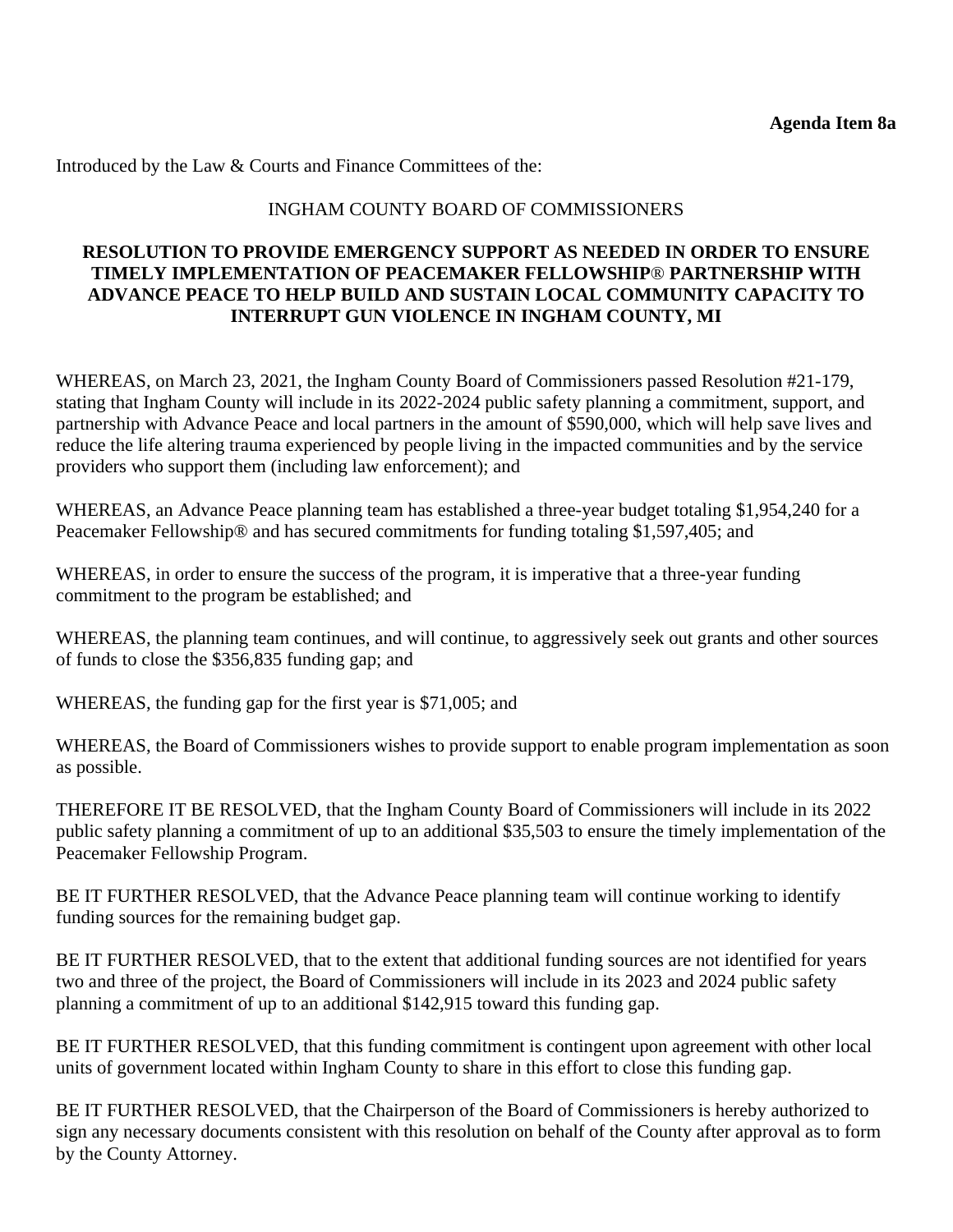Introduced by the Law & Courts and Finance Committees of the:

## INGHAM COUNTY BOARD OF COMMISSIONERS

## **RESOLUTION TO PROVIDE EMERGENCY SUPPORT AS NEEDED IN ORDER TO ENSURE TIMELY IMPLEMENTATION OF PEACEMAKER FELLOWSHIP**® **PARTNERSHIP WITH ADVANCE PEACE TO HELP BUILD AND SUSTAIN LOCAL COMMUNITY CAPACITY TO INTERRUPT GUN VIOLENCE IN INGHAM COUNTY, MI**

WHEREAS, on March 23, 2021, the Ingham County Board of Commissioners passed Resolution #21-179, stating that Ingham County will include in its 2022-2024 public safety planning a commitment, support, and partnership with Advance Peace and local partners in the amount of \$590,000, which will help save lives and reduce the life altering trauma experienced by people living in the impacted communities and by the service providers who support them (including law enforcement); and

WHEREAS, an Advance Peace planning team has established a three-year budget totaling \$1,954,240 for a Peacemaker Fellowship® and has secured commitments for funding totaling \$1,597,405; and

WHEREAS, in order to ensure the success of the program, it is imperative that a three-year funding commitment to the program be established; and

WHEREAS, the planning team continues, and will continue, to aggressively seek out grants and other sources of funds to close the \$356,835 funding gap; and

WHEREAS, the funding gap for the first year is \$71,005; and

WHEREAS, the Board of Commissioners wishes to provide support to enable program implementation as soon as possible.

THEREFORE IT BE RESOLVED, that the Ingham County Board of Commissioners will include in its 2022 public safety planning a commitment of up to an additional \$35,503 to ensure the timely implementation of the Peacemaker Fellowship Program.

BE IT FURTHER RESOLVED, that the Advance Peace planning team will continue working to identify funding sources for the remaining budget gap.

BE IT FURTHER RESOLVED, that to the extent that additional funding sources are not identified for years two and three of the project, the Board of Commissioners will include in its 2023 and 2024 public safety planning a commitment of up to an additional \$142,915 toward this funding gap.

BE IT FURTHER RESOLVED, that this funding commitment is contingent upon agreement with other local units of government located within Ingham County to share in this effort to close this funding gap.

BE IT FURTHER RESOLVED, that the Chairperson of the Board of Commissioners is hereby authorized to sign any necessary documents consistent with this resolution on behalf of the County after approval as to form by the County Attorney.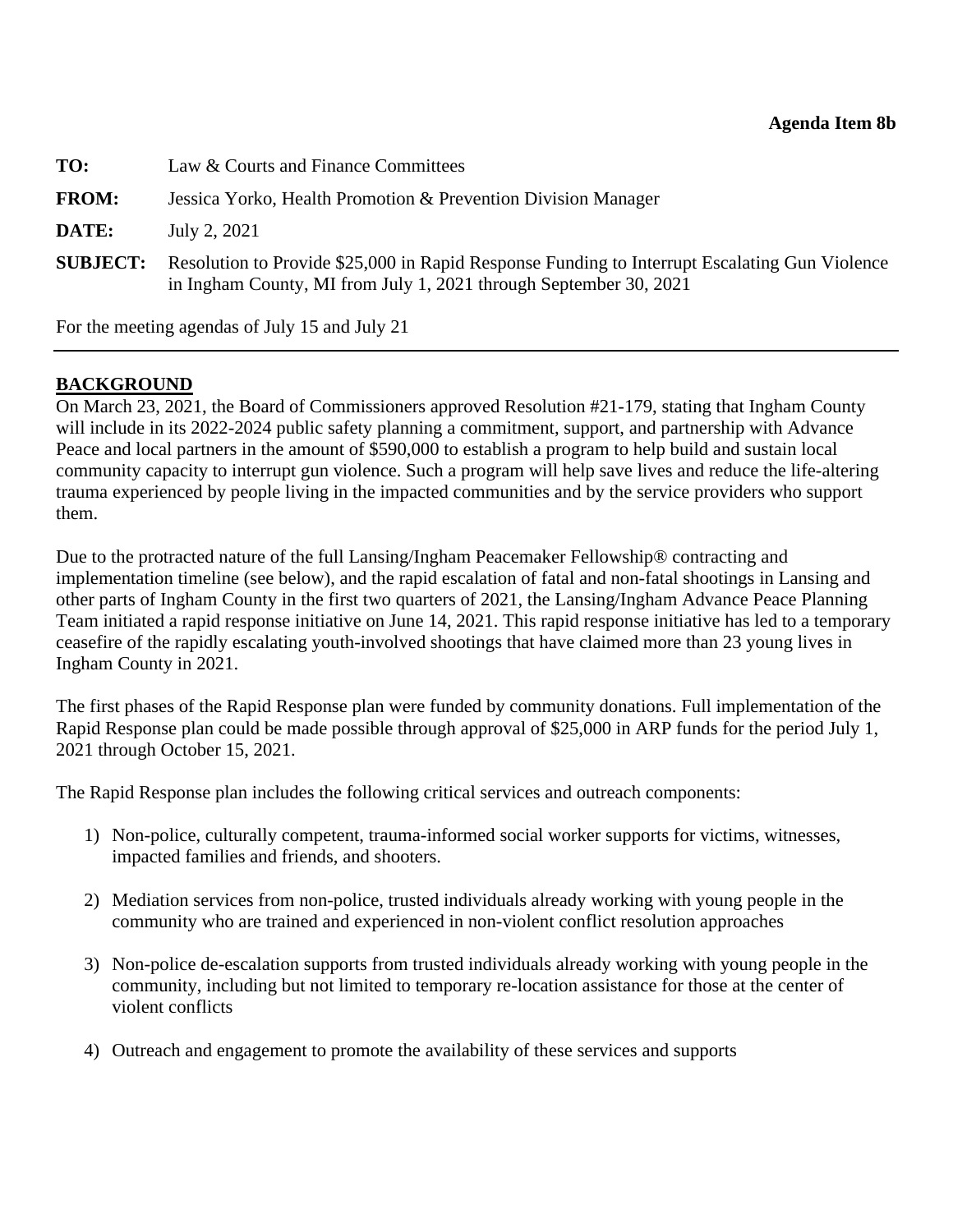<span id="page-31-0"></span>

| TO:             | Law & Courts and Finance Committees                                                                                                                                |  |
|-----------------|--------------------------------------------------------------------------------------------------------------------------------------------------------------------|--|
| <b>FROM:</b>    | Jessica Yorko, Health Promotion & Prevention Division Manager                                                                                                      |  |
| DATE:           | July 2, 2021                                                                                                                                                       |  |
| <b>SUBJECT:</b> | Resolution to Provide \$25,000 in Rapid Response Funding to Interrupt Escalating Gun Violence<br>in Ingham County, MI from July 1, 2021 through September 30, 2021 |  |

For the meeting agendas of July 15 and July 21

## **BACKGROUND**

On March 23, 2021, the Board of Commissioners approved Resolution #21-179, stating that Ingham County will include in its 2022-2024 public safety planning a commitment, support, and partnership with Advance Peace and local partners in the amount of \$590,000 to establish a program to help build and sustain local community capacity to interrupt gun violence. Such a program will help save lives and reduce the life-altering trauma experienced by people living in the impacted communities and by the service providers who support them.

Due to the protracted nature of the full Lansing/Ingham Peacemaker Fellowship® contracting and implementation timeline (see below), and the rapid escalation of fatal and non-fatal shootings in Lansing and other parts of Ingham County in the first two quarters of 2021, the Lansing/Ingham Advance Peace Planning Team initiated a rapid response initiative on June 14, 2021. This rapid response initiative has led to a temporary ceasefire of the rapidly escalating youth-involved shootings that have claimed more than 23 young lives in Ingham County in 2021.

The first phases of the Rapid Response plan were funded by community donations. Full implementation of the Rapid Response plan could be made possible through approval of \$25,000 in ARP funds for the period July 1, 2021 through October 15, 2021.

The Rapid Response plan includes the following critical services and outreach components:

- 1) Non-police, culturally competent, trauma-informed social worker supports for victims, witnesses, impacted families and friends, and shooters.
- 2) Mediation services from non-police, trusted individuals already working with young people in the community who are trained and experienced in non-violent conflict resolution approaches
- 3) Non-police de-escalation supports from trusted individuals already working with young people in the community, including but not limited to temporary re-location assistance for those at the center of violent conflicts
- 4) Outreach and engagement to promote the availability of these services and supports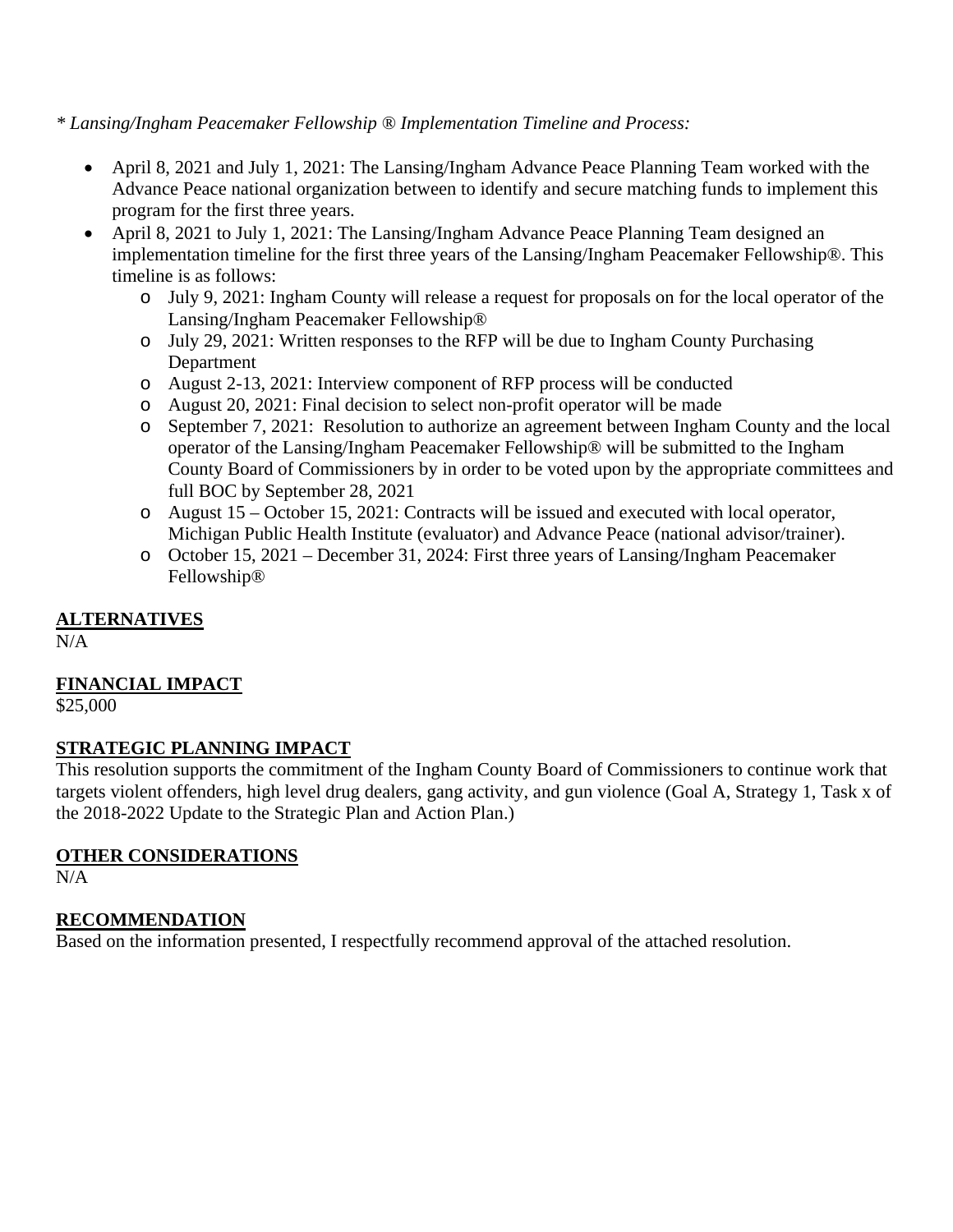*\* Lansing/Ingham Peacemaker Fellowship ® Implementation Timeline and Process:* 

- April 8, 2021 and July 1, 2021: The Lansing/Ingham Advance Peace Planning Team worked with the Advance Peace national organization between to identify and secure matching funds to implement this program for the first three years.
- April 8, 2021 to July 1, 2021: The Lansing/Ingham Advance Peace Planning Team designed an implementation timeline for the first three years of the Lansing/Ingham Peacemaker Fellowship®. This timeline is as follows:
	- o July 9, 2021: Ingham County will release a request for proposals on for the local operator of the Lansing/Ingham Peacemaker Fellowship®
	- o July 29, 2021: Written responses to the RFP will be due to Ingham County Purchasing Department
	- o August 2-13, 2021: Interview component of RFP process will be conducted
	- o August 20, 2021: Final decision to select non-profit operator will be made
	- o September 7, 2021: Resolution to authorize an agreement between Ingham County and the local operator of the Lansing/Ingham Peacemaker Fellowship® will be submitted to the Ingham County Board of Commissioners by in order to be voted upon by the appropriate committees and full BOC by September 28, 2021
	- o August 15 October 15, 2021: Contracts will be issued and executed with local operator, Michigan Public Health Institute (evaluator) and Advance Peace (national advisor/trainer).
	- o October 15, 2021 December 31, 2024: First three years of Lansing/Ingham Peacemaker Fellowship®

## **ALTERNATIVES**

N/A

# **FINANCIAL IMPACT**

\$25,000

## **STRATEGIC PLANNING IMPACT**

This resolution supports the commitment of the Ingham County Board of Commissioners to continue work that targets violent offenders, high level drug dealers, gang activity, and gun violence (Goal A, Strategy 1, Task x of the 2018-2022 Update to the Strategic Plan and Action Plan.)

## **OTHER CONSIDERATIONS**

 $N/A$ 

# **RECOMMENDATION**

Based on the information presented, I respectfully recommend approval of the attached resolution.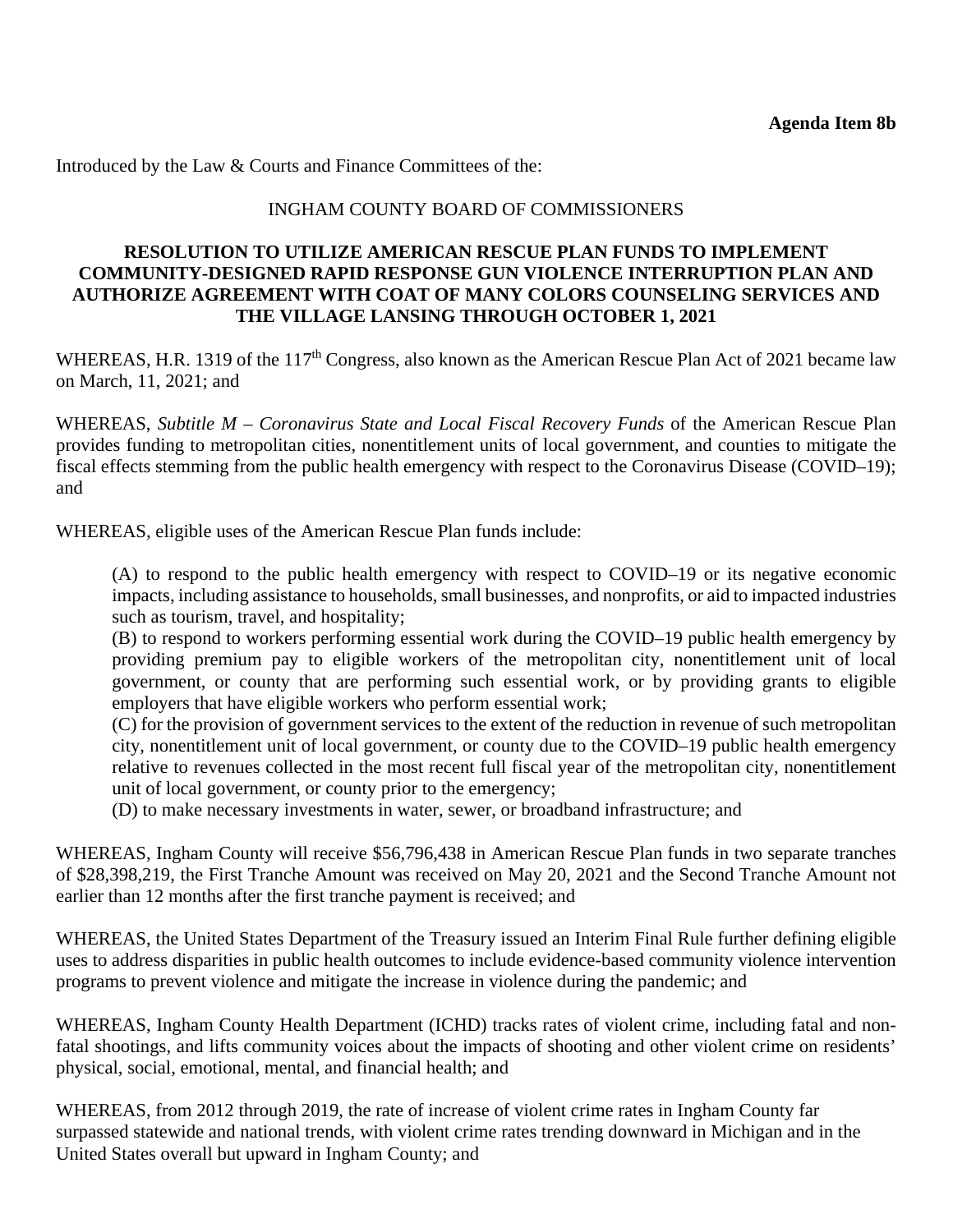Introduced by the Law & Courts and Finance Committees of the:

#### INGHAM COUNTY BOARD OF COMMISSIONERS

#### **RESOLUTION TO UTILIZE AMERICAN RESCUE PLAN FUNDS TO IMPLEMENT COMMUNITY-DESIGNED RAPID RESPONSE GUN VIOLENCE INTERRUPTION PLAN AND AUTHORIZE AGREEMENT WITH COAT OF MANY COLORS COUNSELING SERVICES AND THE VILLAGE LANSING THROUGH OCTOBER 1, 2021**

WHEREAS, H.R. 1319 of the 117<sup>th</sup> Congress, also known as the American Rescue Plan Act of 2021 became law on March, 11, 2021; and

WHEREAS, *Subtitle M – Coronavirus State and Local Fiscal Recovery Funds* of the American Rescue Plan provides funding to metropolitan cities, nonentitlement units of local government, and counties to mitigate the fiscal effects stemming from the public health emergency with respect to the Coronavirus Disease (COVID–19); and

WHEREAS, eligible uses of the American Rescue Plan funds include:

(A) to respond to the public health emergency with respect to COVID–19 or its negative economic impacts, including assistance to households, small businesses, and nonprofits, or aid to impacted industries such as tourism, travel, and hospitality;

(B) to respond to workers performing essential work during the COVID–19 public health emergency by providing premium pay to eligible workers of the metropolitan city, nonentitlement unit of local government, or county that are performing such essential work, or by providing grants to eligible employers that have eligible workers who perform essential work;

(C) for the provision of government services to the extent of the reduction in revenue of such metropolitan city, nonentitlement unit of local government, or county due to the COVID–19 public health emergency relative to revenues collected in the most recent full fiscal year of the metropolitan city, nonentitlement unit of local government, or county prior to the emergency;

(D) to make necessary investments in water, sewer, or broadband infrastructure; and

WHEREAS, Ingham County will receive \$56,796,438 in American Rescue Plan funds in two separate tranches of \$28,398,219, the First Tranche Amount was received on May 20, 2021 and the Second Tranche Amount not earlier than 12 months after the first tranche payment is received; and

WHEREAS, the United States Department of the Treasury issued an Interim Final Rule further defining eligible uses to address disparities in public health outcomes to include evidence-based community violence intervention programs to prevent violence and mitigate the increase in violence during the pandemic; and

WHEREAS, Ingham County Health Department (ICHD) tracks rates of violent crime, including fatal and nonfatal shootings, and lifts community voices about the impacts of shooting and other violent crime on residents' physical, social, emotional, mental, and financial health; and

WHEREAS, from 2012 through 2019, the rate of increase of violent crime rates in Ingham County far surpassed statewide and national trends, with violent crime rates trending downward in Michigan and in the United States overall but upward in Ingham County; and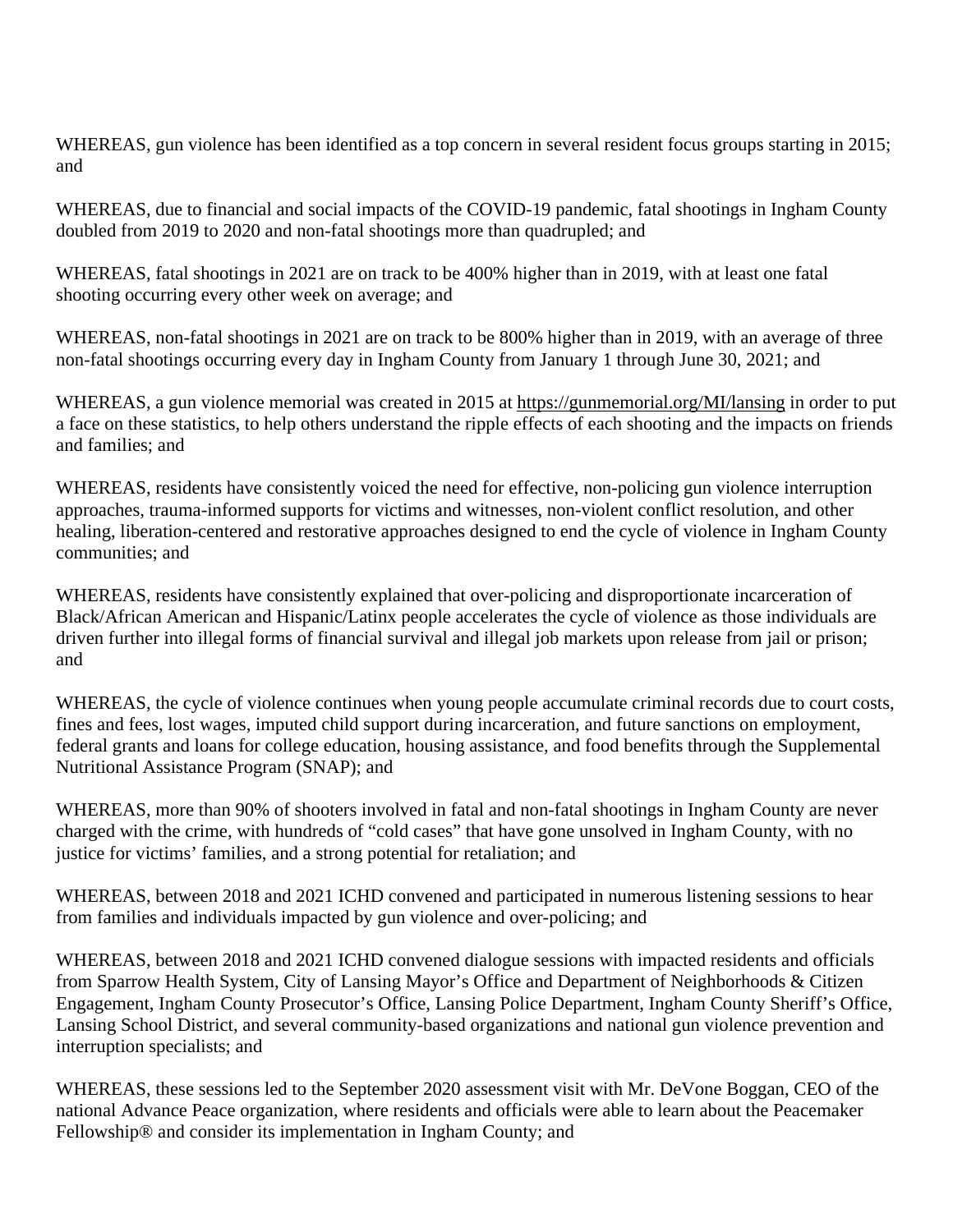WHEREAS, gun violence has been identified as a top concern in several resident focus groups starting in 2015; and

WHEREAS, due to financial and social impacts of the COVID-19 pandemic, fatal shootings in Ingham County doubled from 2019 to 2020 and non-fatal shootings more than quadrupled; and

WHEREAS, fatal shootings in 2021 are on track to be 400% higher than in 2019, with at least one fatal shooting occurring every other week on average; and

WHEREAS, non-fatal shootings in 2021 are on track to be 800% higher than in 2019, with an average of three non-fatal shootings occurring every day in Ingham County from January 1 through June 30, 2021; and

WHEREAS, a gun violence memorial was created in 2015 at https://gunmemorial.org/MI/lansing in order to put a face on these statistics, to help others understand the ripple effects of each shooting and the impacts on friends and families; and

WHEREAS, residents have consistently voiced the need for effective, non-policing gun violence interruption approaches, trauma-informed supports for victims and witnesses, non-violent conflict resolution, and other healing, liberation-centered and restorative approaches designed to end the cycle of violence in Ingham County communities; and

WHEREAS, residents have consistently explained that over-policing and disproportionate incarceration of Black/African American and Hispanic/Latinx people accelerates the cycle of violence as those individuals are driven further into illegal forms of financial survival and illegal job markets upon release from jail or prison; and

WHEREAS, the cycle of violence continues when young people accumulate criminal records due to court costs, fines and fees, lost wages, imputed child support during incarceration, and future sanctions on employment, federal grants and loans for college education, housing assistance, and food benefits through the Supplemental Nutritional Assistance Program (SNAP); and

WHEREAS, more than 90% of shooters involved in fatal and non-fatal shootings in Ingham County are never charged with the crime, with hundreds of "cold cases" that have gone unsolved in Ingham County, with no justice for victims' families, and a strong potential for retaliation; and

WHEREAS, between 2018 and 2021 ICHD convened and participated in numerous listening sessions to hear from families and individuals impacted by gun violence and over-policing; and

WHEREAS, between 2018 and 2021 ICHD convened dialogue sessions with impacted residents and officials from Sparrow Health System, City of Lansing Mayor's Office and Department of Neighborhoods & Citizen Engagement, Ingham County Prosecutor's Office, Lansing Police Department, Ingham County Sheriff's Office, Lansing School District, and several community-based organizations and national gun violence prevention and interruption specialists; and

WHEREAS, these sessions led to the September 2020 assessment visit with Mr. DeVone Boggan, CEO of the national Advance Peace organization, where residents and officials were able to learn about the Peacemaker Fellowship® and consider its implementation in Ingham County; and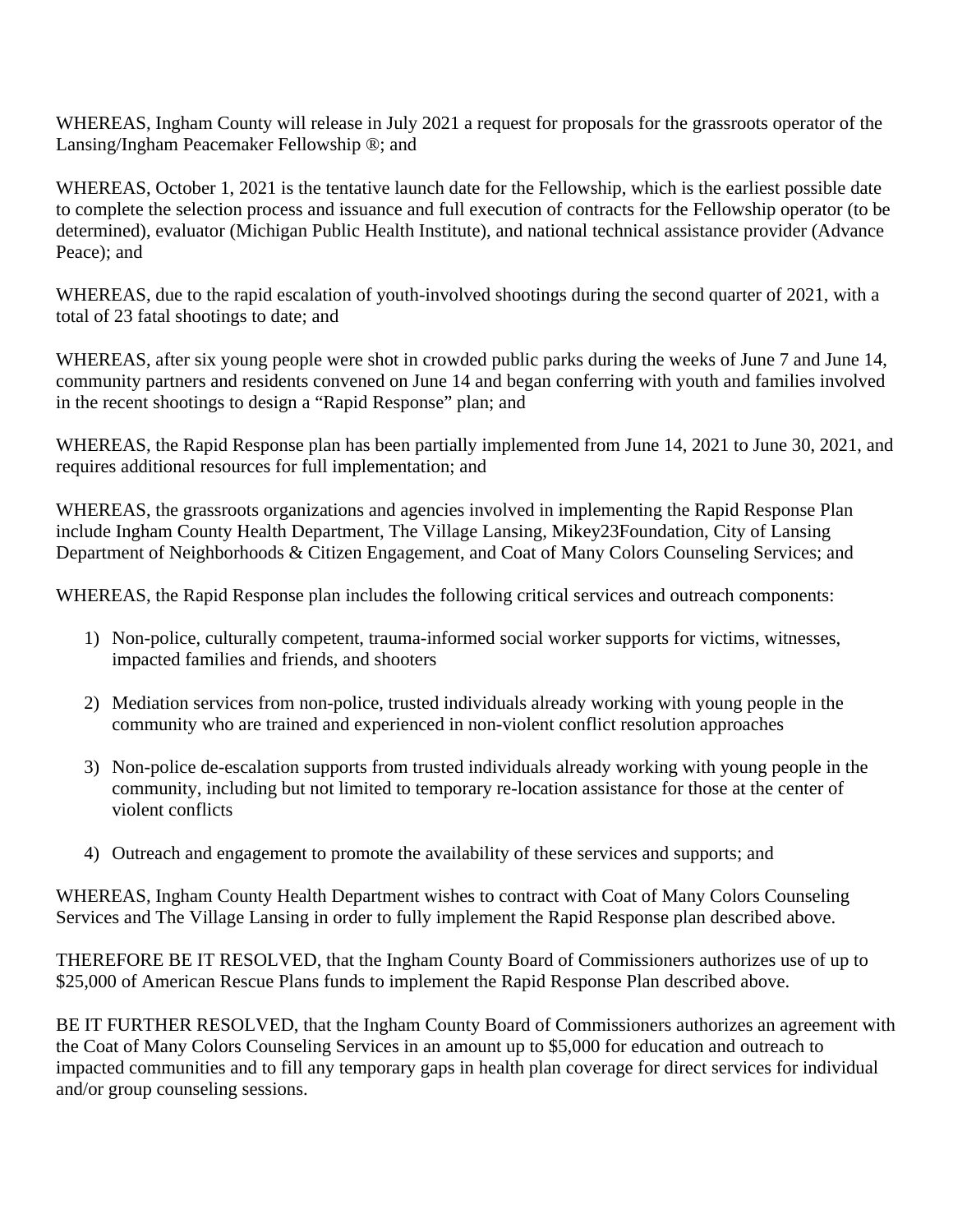WHEREAS, Ingham County will release in July 2021 a request for proposals for the grassroots operator of the Lansing/Ingham Peacemaker Fellowship ®; and

WHEREAS, October 1, 2021 is the tentative launch date for the Fellowship, which is the earliest possible date to complete the selection process and issuance and full execution of contracts for the Fellowship operator (to be determined), evaluator (Michigan Public Health Institute), and national technical assistance provider (Advance Peace); and

WHEREAS, due to the rapid escalation of youth-involved shootings during the second quarter of 2021, with a total of 23 fatal shootings to date; and

WHEREAS, after six young people were shot in crowded public parks during the weeks of June 7 and June 14, community partners and residents convened on June 14 and began conferring with youth and families involved in the recent shootings to design a "Rapid Response" plan; and

WHEREAS, the Rapid Response plan has been partially implemented from June 14, 2021 to June 30, 2021, and requires additional resources for full implementation; and

WHEREAS, the grassroots organizations and agencies involved in implementing the Rapid Response Plan include Ingham County Health Department, The Village Lansing, Mikey23Foundation, City of Lansing Department of Neighborhoods & Citizen Engagement, and Coat of Many Colors Counseling Services; and

WHEREAS, the Rapid Response plan includes the following critical services and outreach components:

- 1) Non-police, culturally competent, trauma-informed social worker supports for victims, witnesses, impacted families and friends, and shooters
- 2) Mediation services from non-police, trusted individuals already working with young people in the community who are trained and experienced in non-violent conflict resolution approaches
- 3) Non-police de-escalation supports from trusted individuals already working with young people in the community, including but not limited to temporary re-location assistance for those at the center of violent conflicts
- 4) Outreach and engagement to promote the availability of these services and supports; and

WHEREAS, Ingham County Health Department wishes to contract with Coat of Many Colors Counseling Services and The Village Lansing in order to fully implement the Rapid Response plan described above.

THEREFORE BE IT RESOLVED, that the Ingham County Board of Commissioners authorizes use of up to \$25,000 of American Rescue Plans funds to implement the Rapid Response Plan described above.

BE IT FURTHER RESOLVED, that the Ingham County Board of Commissioners authorizes an agreement with the Coat of Many Colors Counseling Services in an amount up to \$5,000 for education and outreach to impacted communities and to fill any temporary gaps in health plan coverage for direct services for individual and/or group counseling sessions.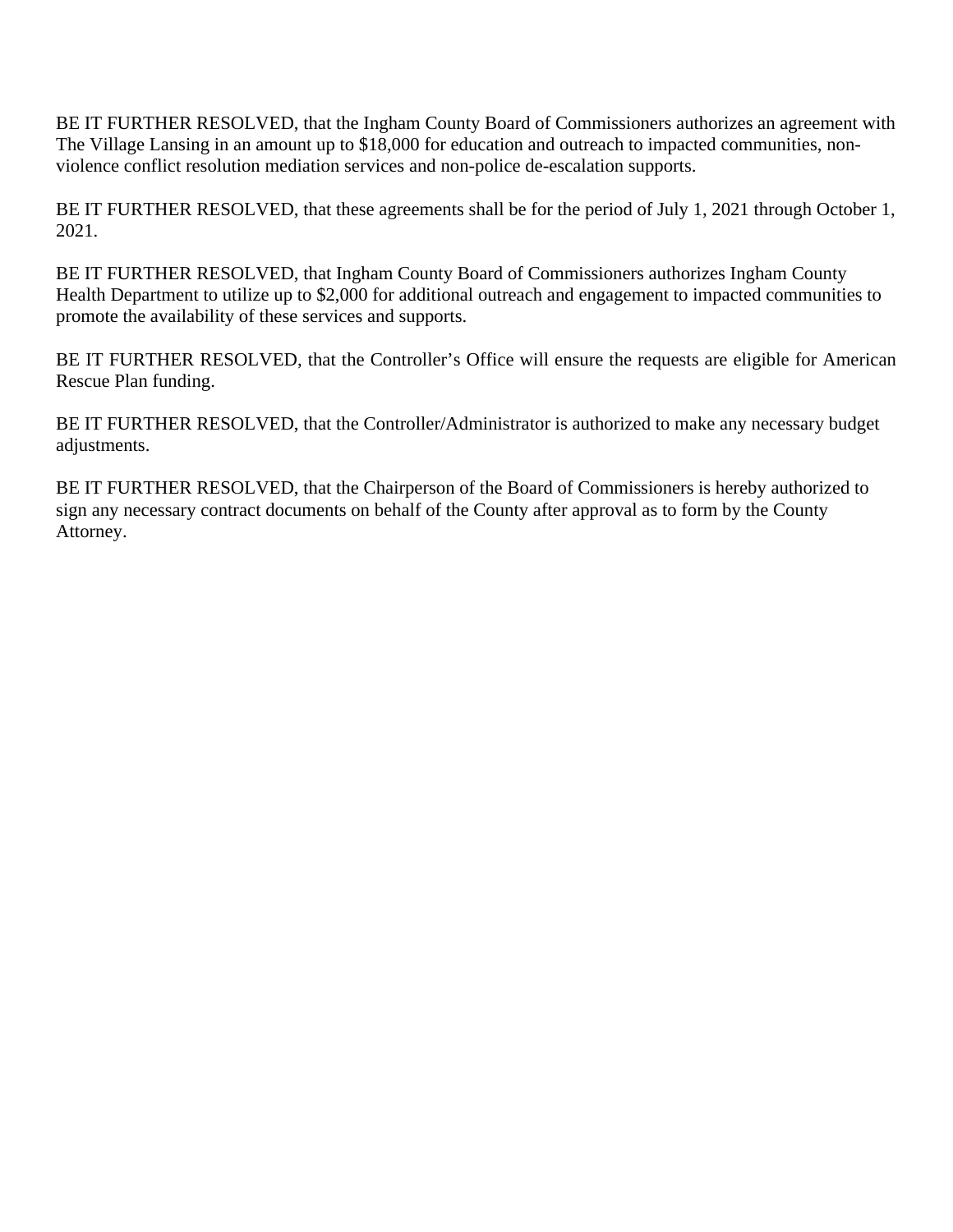BE IT FURTHER RESOLVED, that the Ingham County Board of Commissioners authorizes an agreement with The Village Lansing in an amount up to \$18,000 for education and outreach to impacted communities, nonviolence conflict resolution mediation services and non-police de-escalation supports.

BE IT FURTHER RESOLVED, that these agreements shall be for the period of July 1, 2021 through October 1, 2021.

BE IT FURTHER RESOLVED, that Ingham County Board of Commissioners authorizes Ingham County Health Department to utilize up to \$2,000 for additional outreach and engagement to impacted communities to promote the availability of these services and supports.

BE IT FURTHER RESOLVED, that the Controller's Office will ensure the requests are eligible for American Rescue Plan funding.

BE IT FURTHER RESOLVED, that the Controller/Administrator is authorized to make any necessary budget adjustments.

BE IT FURTHER RESOLVED, that the Chairperson of the Board of Commissioners is hereby authorized to sign any necessary contract documents on behalf of the County after approval as to form by the County Attorney.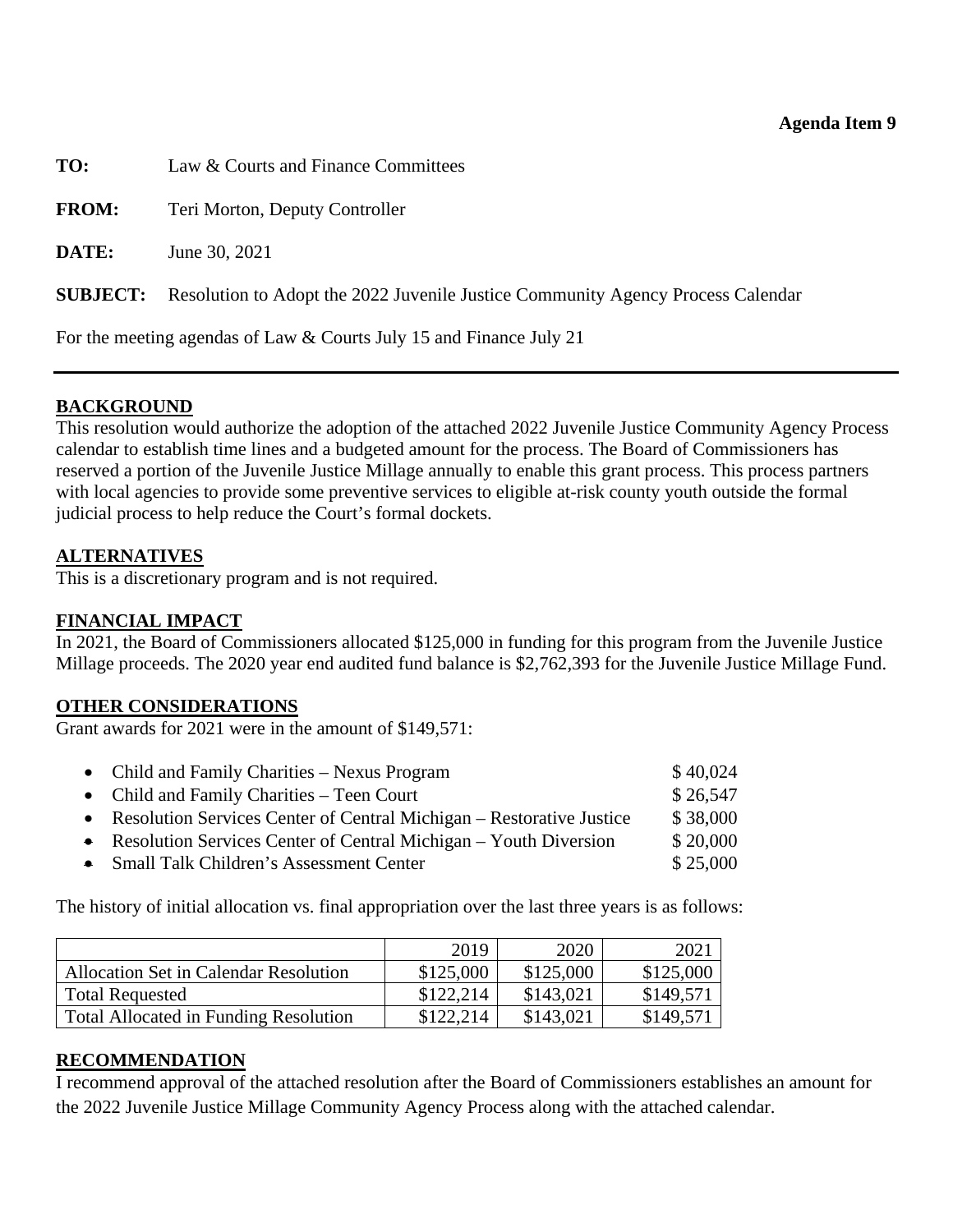#### **Agenda Item 9**

<span id="page-37-0"></span>**TO:** Law & Courts and Finance Committees **FROM:** Teri Morton, Deputy Controller **DATE:** June 30, 2021 **SUBJECT:** Resolution to Adopt the 2022 Juvenile Justice Community Agency Process Calendar For the meeting agendas of Law & Courts July 15 and Finance July 21

## **BACKGROUND**

This resolution would authorize the adoption of the attached 2022 Juvenile Justice Community Agency Process calendar to establish time lines and a budgeted amount for the process. The Board of Commissioners has reserved a portion of the Juvenile Justice Millage annually to enable this grant process. This process partners with local agencies to provide some preventive services to eligible at-risk county youth outside the formal judicial process to help reduce the Court's formal dockets.

## **ALTERNATIVES**

This is a discretionary program and is not required.

# **FINANCIAL IMPACT**

In 2021, the Board of Commissioners allocated \$125,000 in funding for this program from the Juvenile Justice Millage proceeds. The 2020 year end audited fund balance is \$2,762,393 for the Juvenile Justice Millage Fund.

## **OTHER CONSIDERATIONS**

Grant awards for 2021 were in the amount of \$149,571:

| • Child and Family Charities – Nexus Program                           | \$40,024 |
|------------------------------------------------------------------------|----------|
| • Child and Family Charities $-$ Teen Court                            | \$26,547 |
| • Resolution Services Center of Central Michigan – Restorative Justice | \$38,000 |
| • Resolution Services Center of Central Michigan $-$ Youth Diversion   | \$20,000 |
| • Small Talk Children's Assessment Center                              | \$25,000 |
|                                                                        |          |

The history of initial allocation vs. final appropriation over the last three years is as follows:

|                                              | 2019      | 2020      | 2021      |
|----------------------------------------------|-----------|-----------|-----------|
| Allocation Set in Calendar Resolution        | \$125,000 | \$125,000 | \$125,000 |
| <b>Total Requested</b>                       | \$122.214 | \$143,021 | \$149,571 |
| <b>Total Allocated in Funding Resolution</b> | \$122.214 | \$143,021 | \$149,571 |

## **RECOMMENDATION**

I recommend approval of the attached resolution after the Board of Commissioners establishes an amount for the 2022 Juvenile Justice Millage Community Agency Process along with the attached calendar.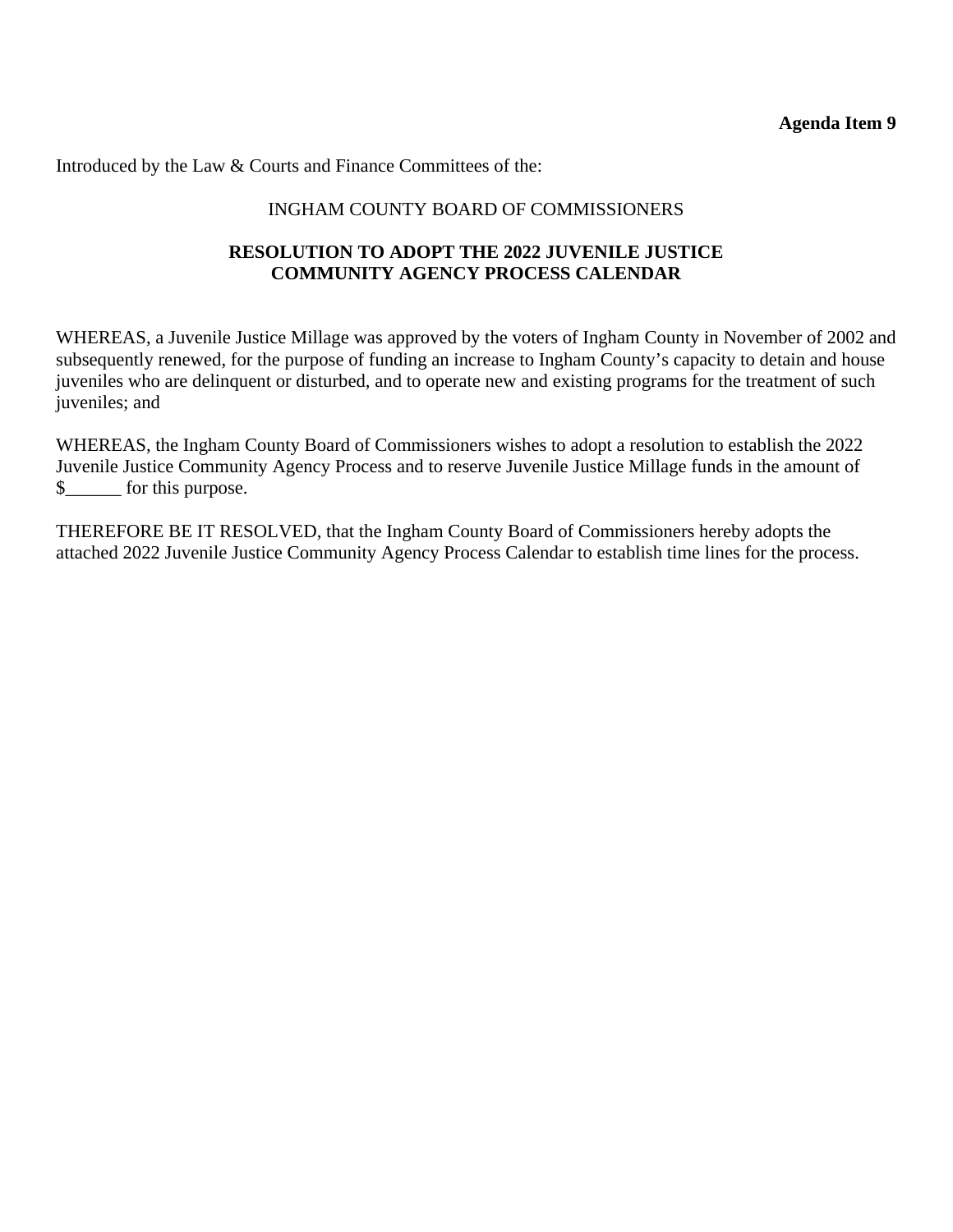**Agenda Item 9** 

Introduced by the Law & Courts and Finance Committees of the:

## INGHAM COUNTY BOARD OF COMMISSIONERS

## **RESOLUTION TO ADOPT THE 2022 JUVENILE JUSTICE COMMUNITY AGENCY PROCESS CALENDAR**

WHEREAS, a Juvenile Justice Millage was approved by the voters of Ingham County in November of 2002 and subsequently renewed, for the purpose of funding an increase to Ingham County's capacity to detain and house juveniles who are delinquent or disturbed, and to operate new and existing programs for the treatment of such juveniles; and

WHEREAS, the Ingham County Board of Commissioners wishes to adopt a resolution to establish the 2022 Juvenile Justice Community Agency Process and to reserve Juvenile Justice Millage funds in the amount of \$\_\_\_\_\_\_ for this purpose.

THEREFORE BE IT RESOLVED, that the Ingham County Board of Commissioners hereby adopts the attached 2022 Juvenile Justice Community Agency Process Calendar to establish time lines for the process.